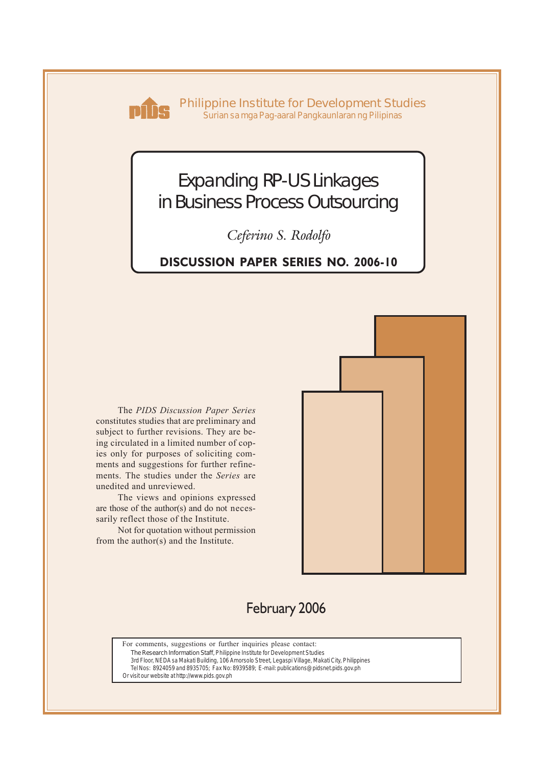

**Philippine Institute for Development Studies** *Surian sa mga Pag-aaral Pangkaunlaran ng Pilipinas*

# Expanding RP-US Linkages in Business Process Outsourcing

*Ceferino S. Rodolfo*

# **DISCUSSION PAPER SERIES NO. 2006-10**

The *PIDS Discussion Paper Series* constitutes studies that are preliminary and subject to further revisions. They are being circulated in a limited number of copies only for purposes of soliciting comments and suggestions for further refinements. The studies under the *Series* are unedited and unreviewed.

The views and opinions expressed are those of the author(s) and do not necessarily reflect those of the Institute.

Not for quotation without permission from the author(s) and the Institute.



# February 2006

For comments, suggestions or further inquiries please contact:

**The Research Information Staff,** Philippine Institute for Development Studies

3rd Floor, NEDA sa Makati Building, 106 Amorsolo Street, Legaspi Village, Makati City, Philippines Tel Nos: 8924059 and 8935705; Fax No: 8939589; E-mail: publications@pidsnet.pids.gov.ph

Or visit our website at http://www.pids.gov.ph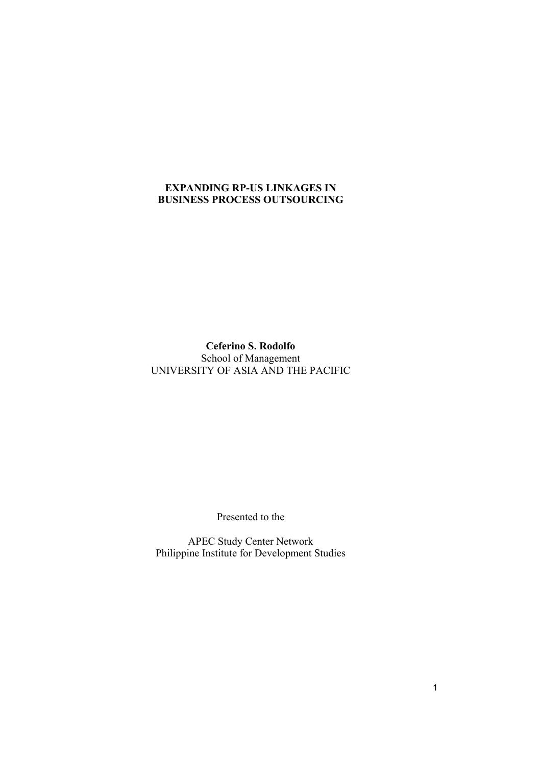# **EXPANDING RP-US LINKAGES IN BUSINESS PROCESS OUTSOURCING**

**Ceferino S. Rodolfo**  School of Management UNIVERSITY OF ASIA AND THE PACIFIC

Presented to the

APEC Study Center Network Philippine Institute for Development Studies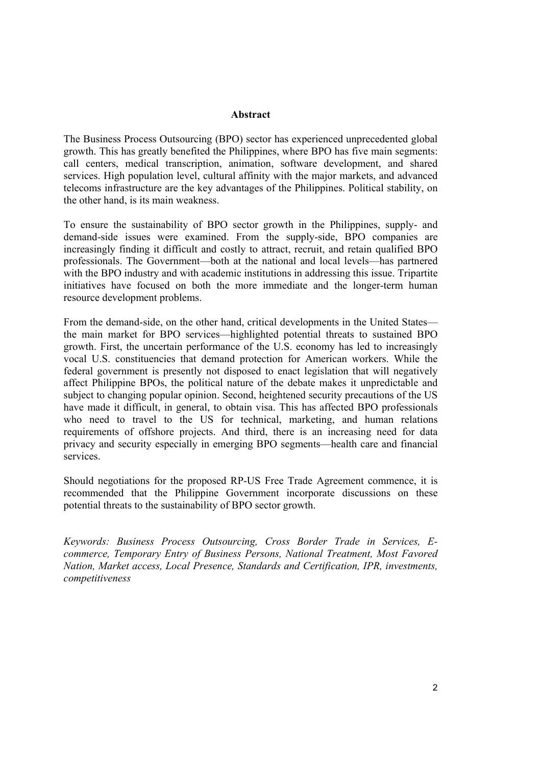### **Abstract**

The Business Process Outsourcing (BPO) sector has experienced unprecedented global growth. This has greatly benefited the Philippines, where BPO has five main segments: call centers, medical transcription, animation, software development, and shared services. High population level, cultural affinity with the major markets, and advanced telecoms infrastructure are the key advantages of the Philippines. Political stability, on the other hand, is its main weakness.

To ensure the sustainability of BPO sector growth in the Philippines, supply- and demand-side issues were examined. From the supply-side, BPO companies are increasingly finding it difficult and costly to attract, recruit, and retain qualified BPO professionals. The Government—both at the national and local levels—has partnered with the BPO industry and with academic institutions in addressing this issue. Tripartite initiatives have focused on both the more immediate and the longer-term human resource development problems.

From the demand-side, on the other hand, critical developments in the United States the main market for BPO services—highlighted potential threats to sustained BPO growth. First, the uncertain performance of the U.S. economy has led to increasingly vocal U.S. constituencies that demand protection for American workers. While the federal government is presently not disposed to enact legislation that will negatively affect Philippine BPOs, the political nature of the debate makes it unpredictable and subject to changing popular opinion. Second, heightened security precautions of the US have made it difficult, in general, to obtain visa. This has affected BPO professionals who need to travel to the US for technical, marketing, and human relations requirements of offshore projects. And third, there is an increasing need for data privacy and security especially in emerging BPO segments—health care and financial services.

Should negotiations for the proposed RP-US Free Trade Agreement commence, it is recommended that the Philippine Government incorporate discussions on these potential threats to the sustainability of BPO sector growth.

*Keywords: Business Process Outsourcing, Cross Border Trade in Services, Ecommerce, Temporary Entry of Business Persons, National Treatment, Most Favored Nation, Market access, Local Presence, Standards and Certification, IPR, investments, competitiveness*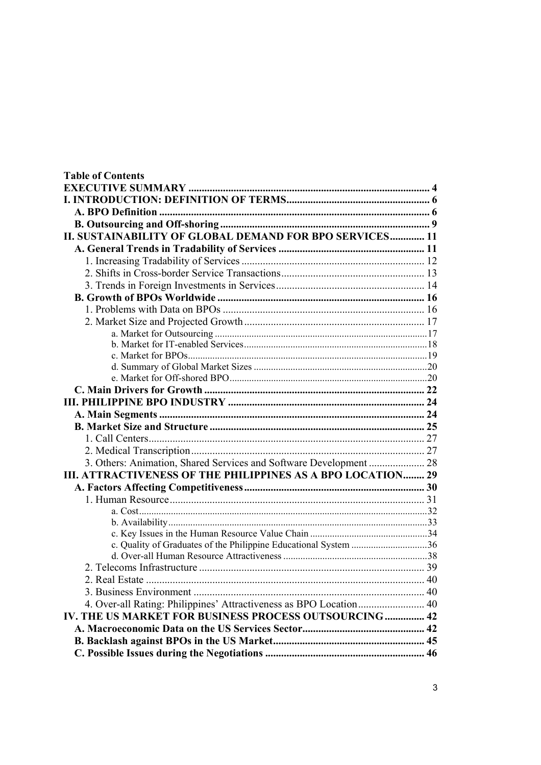| <b>Table of Contents</b>                                           |  |
|--------------------------------------------------------------------|--|
|                                                                    |  |
|                                                                    |  |
|                                                                    |  |
|                                                                    |  |
| II. SUSTAINABILITY OF GLOBAL DEMAND FOR BPO SERVICES 11            |  |
|                                                                    |  |
|                                                                    |  |
|                                                                    |  |
|                                                                    |  |
|                                                                    |  |
|                                                                    |  |
|                                                                    |  |
|                                                                    |  |
|                                                                    |  |
|                                                                    |  |
|                                                                    |  |
|                                                                    |  |
|                                                                    |  |
|                                                                    |  |
|                                                                    |  |
|                                                                    |  |
|                                                                    |  |
|                                                                    |  |
| 3. Others: Animation, Shared Services and Software Development  28 |  |
| III. ATTRACTIVENESS OF THE PHILIPPINES AS A BPO LOCATION 29        |  |
|                                                                    |  |
|                                                                    |  |
|                                                                    |  |
|                                                                    |  |
|                                                                    |  |
| c. Quality of Graduates of the Philippine Educational System 36    |  |
|                                                                    |  |
|                                                                    |  |
|                                                                    |  |
|                                                                    |  |
| 4. Over-all Rating: Philippines' Attractiveness as BPO Location 40 |  |
| IV. THE US MARKET FOR BUSINESS PROCESS OUTSOURCING 42              |  |
|                                                                    |  |
|                                                                    |  |
|                                                                    |  |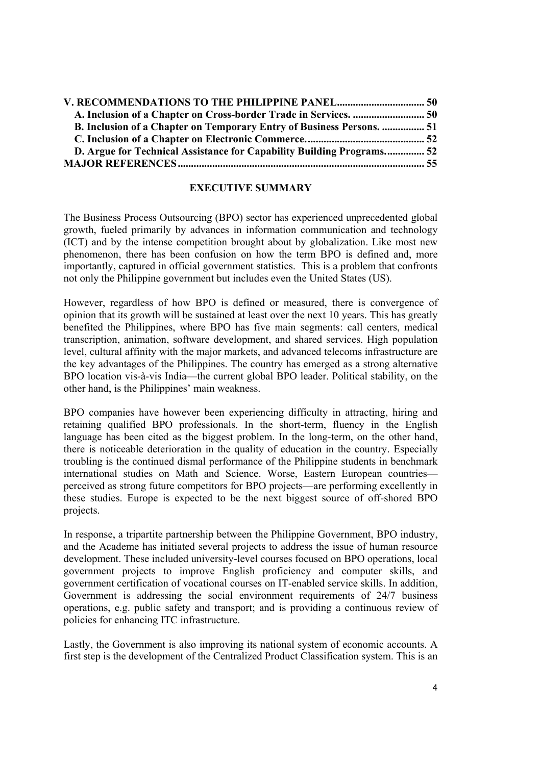| <b>B. Inclusion of a Chapter on Temporary Entry of Business Persons.  51</b> |  |
|------------------------------------------------------------------------------|--|
|                                                                              |  |
| D. Argue for Technical Assistance for Capability Building Programs 52        |  |
|                                                                              |  |

### **EXECUTIVE SUMMARY**

The Business Process Outsourcing (BPO) sector has experienced unprecedented global growth, fueled primarily by advances in information communication and technology (ICT) and by the intense competition brought about by globalization. Like most new phenomenon, there has been confusion on how the term BPO is defined and, more importantly, captured in official government statistics. This is a problem that confronts not only the Philippine government but includes even the United States (US).

However, regardless of how BPO is defined or measured, there is convergence of opinion that its growth will be sustained at least over the next 10 years. This has greatly benefited the Philippines, where BPO has five main segments: call centers, medical transcription, animation, software development, and shared services. High population level, cultural affinity with the major markets, and advanced telecoms infrastructure are the key advantages of the Philippines. The country has emerged as a strong alternative BPO location vis-à-vis India—the current global BPO leader. Political stability, on the other hand, is the Philippines' main weakness.

BPO companies have however been experiencing difficulty in attracting, hiring and retaining qualified BPO professionals. In the short-term, fluency in the English language has been cited as the biggest problem. In the long-term, on the other hand, there is noticeable deterioration in the quality of education in the country. Especially troubling is the continued dismal performance of the Philippine students in benchmark international studies on Math and Science. Worse, Eastern European countries perceived as strong future competitors for BPO projects—are performing excellently in these studies. Europe is expected to be the next biggest source of off-shored BPO projects.

In response, a tripartite partnership between the Philippine Government, BPO industry, and the Academe has initiated several projects to address the issue of human resource development. These included university-level courses focused on BPO operations, local government projects to improve English proficiency and computer skills, and government certification of vocational courses on IT-enabled service skills. In addition, Government is addressing the social environment requirements of 24/7 business operations, e.g. public safety and transport; and is providing a continuous review of policies for enhancing ITC infrastructure.

Lastly, the Government is also improving its national system of economic accounts. A first step is the development of the Centralized Product Classification system. This is an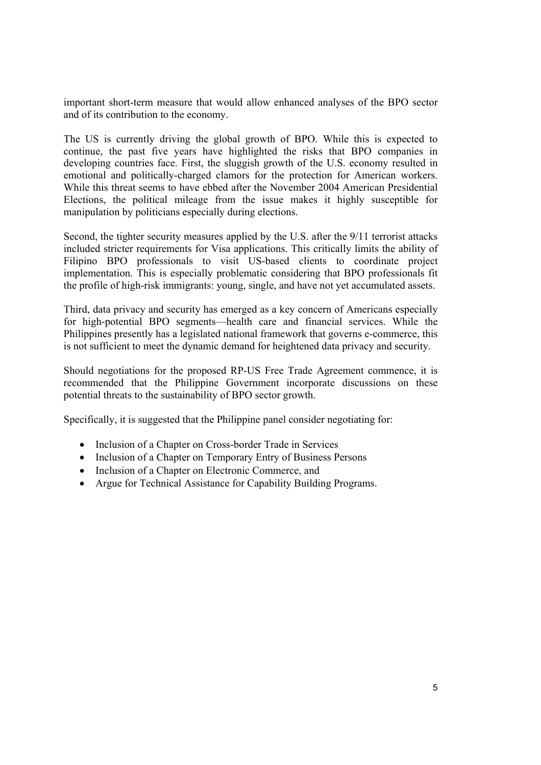important short-term measure that would allow enhanced analyses of the BPO sector and of its contribution to the economy.

The US is currently driving the global growth of BPO. While this is expected to continue, the past five years have highlighted the risks that BPO companies in developing countries face. First, the sluggish growth of the U.S. economy resulted in emotional and politically-charged clamors for the protection for American workers. While this threat seems to have ebbed after the November 2004 American Presidential Elections, the political mileage from the issue makes it highly susceptible for manipulation by politicians especially during elections.

Second, the tighter security measures applied by the U.S. after the 9/11 terrorist attacks included stricter requirements for Visa applications. This critically limits the ability of Filipino BPO professionals to visit US-based clients to coordinate project implementation. This is especially problematic considering that BPO professionals fit the profile of high-risk immigrants: young, single, and have not yet accumulated assets.

Third, data privacy and security has emerged as a key concern of Americans especially for high-potential BPO segments—health care and financial services. While the Philippines presently has a legislated national framework that governs e-commerce, this is not sufficient to meet the dynamic demand for heightened data privacy and security.

Should negotiations for the proposed RP-US Free Trade Agreement commence, it is recommended that the Philippine Government incorporate discussions on these potential threats to the sustainability of BPO sector growth.

Specifically, it is suggested that the Philippine panel consider negotiating for:

- Inclusion of a Chapter on Cross-border Trade in Services
- Inclusion of a Chapter on Temporary Entry of Business Persons
- Inclusion of a Chapter on Electronic Commerce, and
- Argue for Technical Assistance for Capability Building Programs.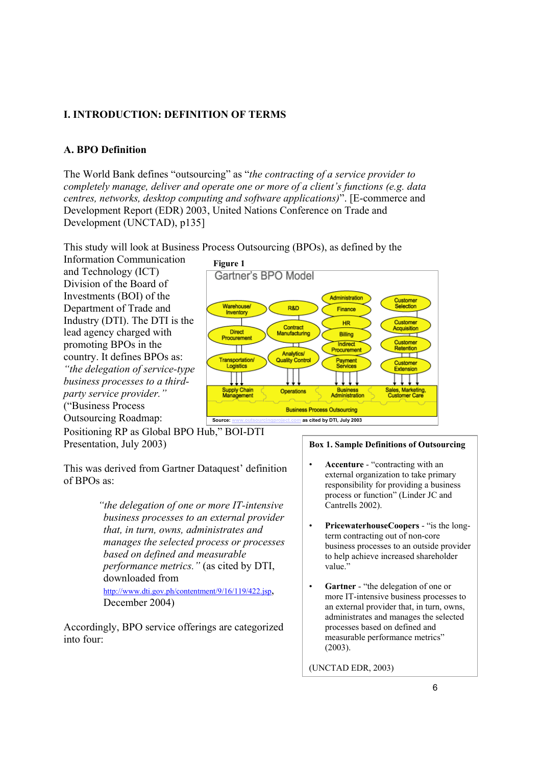# **I. INTRODUCTION: DEFINITION OF TERMS**

# **A. BPO Definition**

The World Bank defines "outsourcing" as "*the contracting of a service provider to completely manage, deliver and operate one or more of a client's functions (e.g. data centres, networks, desktop computing and software applications)*". [E-commerce and Development Report (EDR) 2003, United Nations Conference on Trade and Development (UNCTAD), p135]

This study will look at Business Process Outsourcing (BPOs), as defined by the

Information Communication and Technology (ICT) Division of the Board of Investments (BOI) of the Department of Trade and Industry (DTI). The DTI is the lead agency charged with promoting BPOs in the country. It defines BPOs as: *"the delegation of service-type business processes to a thirdparty service provider."* ("Business Process Outsourcing Roadmap:



Positioning RP as Global BPO Hub," BOI-DTI Presentation, July 2003)

This was derived from Gartner Dataquest' definition of BPOs as:

> *"the delegation of one or more IT-intensive business processes to an external provider that, in turn, owns, administrates and manages the selected process or processes based on defined and measurable performance metrics."* (as cited by DTI, downloaded from http://www.dti.gov.ph/contentment/9/16/119/422.jsp, December 2004)

Accordingly, BPO service offerings are categorized into four:

#### **Box 1. Sample Definitions of Outsourcing**

- **Accenture** "contracting with an external organization to take primary responsibility for providing a business process or function" (Linder JC and Cantrells 2002).
- **PricewaterhouseCoopers** "is the longterm contracting out of non-core business processes to an outside provider to help achieve increased shareholder value.'
- Gartner "the delegation of one or more IT-intensive business processes to an external provider that, in turn, owns, administrates and manages the selected processes based on defined and measurable performance metrics" (2003).

(UNCTAD EDR, 2003)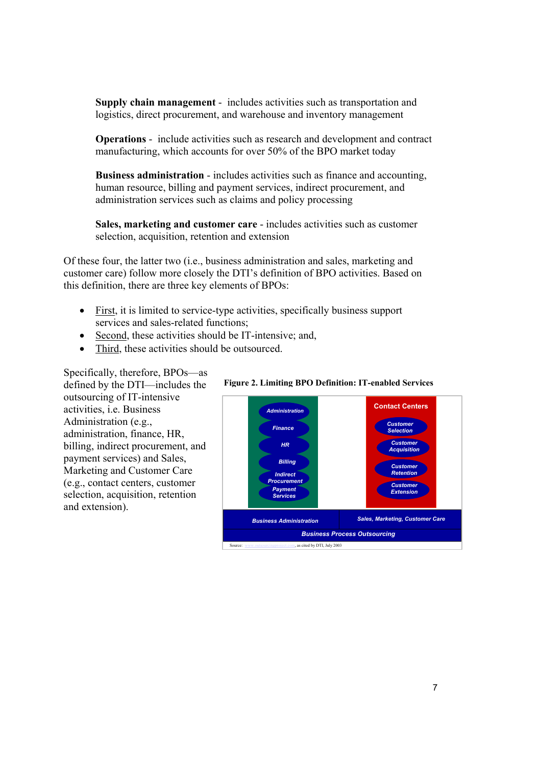**Supply chain management** - includes activities such as transportation and logistics, direct procurement, and warehouse and inventory management

**Operations** - include activities such as research and development and contract manufacturing, which accounts for over 50% of the BPO market today

**Business administration** - includes activities such as finance and accounting, human resource, billing and payment services, indirect procurement, and administration services such as claims and policy processing

**Sales, marketing and customer care** - includes activities such as customer selection, acquisition, retention and extension

Of these four, the latter two (i.e., business administration and sales, marketing and customer care) follow more closely the DTI's definition of BPO activities. Based on this definition, there are three key elements of BPOs:

- First, it is limited to service-type activities, specifically business support services and sales-related functions;
- Second, these activities should be IT-intensive; and,
- Third, these activities should be outsourced.

Specifically, therefore, BPOs—as defined by the DTI—includes the outsourcing of IT-intensive activities, i.e. Business Administration (e.g., administration, finance, HR, billing, indirect procurement, and payment services) and Sales, Marketing and Customer Care (e.g., contact centers, customer selection, acquisition, retention and extension).



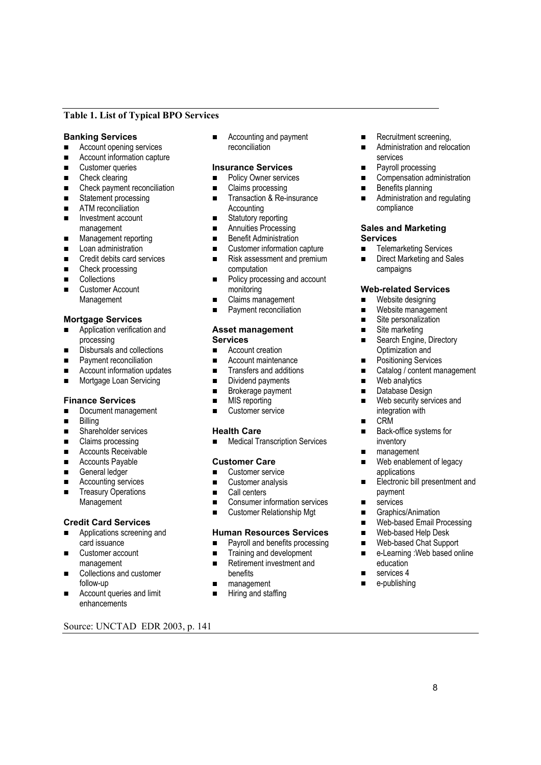### **Table 1. List of Typical BPO Services**

#### **Banking Services**

- Account opening services
- Account information capture
- **Exercise Customer queries**
- Check clearing
- Check payment reconciliation
- Statement processing
- **ATM** reconciliation
- **Investment account** management
- **Management reporting**
- **Loan administration**
- Credit debits card services
- Check processing
- **Collections**
- Customer Account Management

#### **Mortgage Services**

- Application verification and processing
- Disbursals and collections
- **Payment reconciliation**
- Account information updates
- **Mortgage Loan Servicing**

#### **Finance Services**

- Document management
- **Billing**
- Shareholder services
- Claims processing
- Accounts Receivable
- **Accounts Payable**
- General ledger
- Accounting services
- **Treasury Operations** Management

#### **Credit Card Services**

- **Applications screening and** card issuance
- Customer account management
- Collections and customer follow-up
- Account queries and limit enhancements

Source: UNCTAD EDR 2003, p. 141

■ Accounting and payment reconciliation

# **Insurance Services**

- **Policy Owner services**
- Claims processing
- Transaction & Re-insurance **Accounting**
- Statutory reporting
- **Annuities Processing**
- **Benefit Administration**
- Customer information capture ■ Risk assessment and premium
- computation ■ Policy processing and account
- monitoring
- Claims management
- **Payment reconciliation**

#### **Asset management Services**

- Account creation
- **Account maintenance**
- **Transfers and additions**
- **Dividend payments**
- **Brokerage payment**
- **MIS** reporting
- **Customer service**

#### **Health Care**

**Medical Transcription Services** 

#### **Customer Care**

- Customer service
- Customer analysis
- Call centers
- Consumer information services
- Customer Relationship Mgt

#### **Human Resources Services**

- **Payroll and benefits processing**
- **Training and development**
- Retirement investment and benefits
- **management**
- **Hiring and staffing**
- Recruitment screening,
- **Administration and relocation** services
- **Payroll processing**
- Compensation administration
- $\blacksquare$  Benefits planning
- **Administration and regulating** compliance

#### **Sales and Marketing Services**

- **EXECUTE:** Telemarketing Services
- Direct Marketing and Sales campaigns

#### **Web-related Services**

- **Nebsite designing**
- **Nebsite management**
- Site personalization
- Site marketing
- Search Engine, Directory Optimization and
- **Positioning Services**
- Catalog / content management
- **Neb** analytics
- Database Design
- Web security services and integration with
- CRM
- Back-office systems for inventory
- management
- Web enablement of legacy applications
- Electronic bill presentment and payment
- services
- Graphics/Animation

education ■ services 4 e-publishing

■ Web-based Help Desk ■ Web-based Chat Support ■ e-Learning :Web based online

■ Web-based Email Processing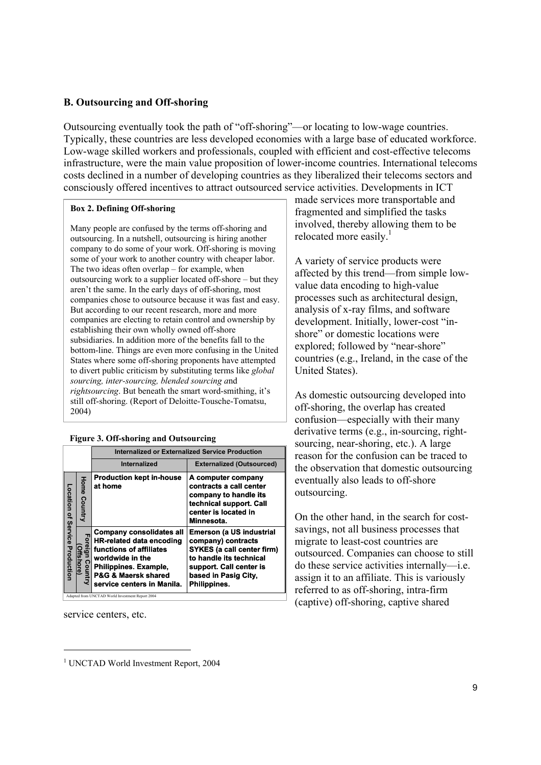# **B. Outsourcing and Off-shoring**

Outsourcing eventually took the path of "off-shoring"—or locating to low-wage countries. Typically, these countries are less developed economies with a large base of educated workforce. Low-wage skilled workers and professionals, coupled with efficient and cost-effective telecoms infrastructure, were the main value proposition of lower-income countries. International telecoms costs declined in a number of developing countries as they liberalized their telecoms sectors and consciously offered incentives to attract outsourced service activities. Developments in ICT

#### **Box 2. Defining Off-shoring**

Many people are confused by the terms off-shoring and outsourcing. In a nutshell, outsourcing is hiring another company to do some of your work. Off-shoring is moving some of your work to another country with cheaper labor. The two ideas often overlap – for example, when outsourcing work to a supplier located off-shore – but they aren't the same. In the early days of off-shoring, most companies chose to outsource because it was fast and easy. But according to our recent research, more and more companies are electing to retain control and ownership by establishing their own wholly owned off-shore subsidiaries. In addition more of the benefits fall to the bottom-line. Things are even more confusing in the United States where some off-shoring proponents have attempted to divert public criticism by substituting terms like *global sourcing, inter-sourcing, blended sourcing a*nd *rightsourcing*. But beneath the smart word-smithing, it's still off-shoring. (Report of Deloitte-Tousche-Tomatsu, 2004)

#### **Figure 3. Off-shoring and Outsourcing**

|                                |                                       | Internalized or Externalized Service Production                                                                                                                                                                                                                    |                                                                                                                                                                                          |  |  |  |  |  |
|--------------------------------|---------------------------------------|--------------------------------------------------------------------------------------------------------------------------------------------------------------------------------------------------------------------------------------------------------------------|------------------------------------------------------------------------------------------------------------------------------------------------------------------------------------------|--|--|--|--|--|
|                                |                                       | <b>Internalized</b>                                                                                                                                                                                                                                                | <b>Externalized (Outsourced)</b>                                                                                                                                                         |  |  |  |  |  |
|                                | <b>Home Country</b>                   | <b>Production kept in-house</b><br>at home                                                                                                                                                                                                                         | A computer company<br>contracts a call center<br>company to handle its<br>technical support. Call<br>center is located in<br>Minnesota.                                                  |  |  |  |  |  |
| Location of Service Production | Foreign Cour<br>(Offshore)<br>Country | <b>Company consolidates all</b><br><b>HR-related data encoding</b><br>functions of affiliates<br>worldwide in the<br>Philippines. Example,<br><b>P&amp;G &amp; Maersk shared</b><br>service centers in Manila.<br>Adapted from UNCTAD World Investment Report 2004 | <b>Emerson (a US industrial</b><br>company) contracts<br><b>SYKES (a call center firm)</b><br>to handle its technical<br>support. Call center is<br>based in Pasig City,<br>Philippines. |  |  |  |  |  |

service centers, etc.

made services more transportable and fragmented and simplified the tasks involved, thereby allowing them to be relocated more easily.<sup>1</sup>

A variety of service products were affected by this trend—from simple lowvalue data encoding to high-value processes such as architectural design, analysis of x-ray films, and software development. Initially, lower-cost "inshore" or domestic locations were explored; followed by "near-shore" countries (e.g., Ireland, in the case of the United States).

As domestic outsourcing developed into off-shoring, the overlap has created confusion—especially with their many derivative terms (e.g., in-sourcing, rightsourcing, near-shoring, etc.). A large reason for the confusion can be traced to the observation that domestic outsourcing eventually also leads to off-shore outsourcing.

On the other hand, in the search for costsavings, not all business processes that migrate to least-cost countries are outsourced. Companies can choose to still do these service activities internally—i.e. assign it to an affiliate. This is variously referred to as off-shoring, intra-firm (captive) off-shoring, captive shared

<sup>1</sup> UNCTAD World Investment Report, 2004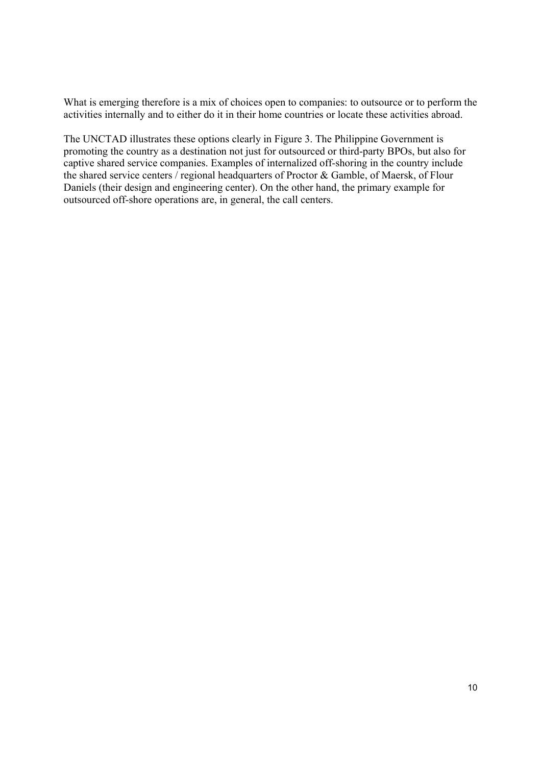What is emerging therefore is a mix of choices open to companies: to outsource or to perform the activities internally and to either do it in their home countries or locate these activities abroad.

The UNCTAD illustrates these options clearly in Figure 3. The Philippine Government is promoting the country as a destination not just for outsourced or third-party BPOs, but also for captive shared service companies. Examples of internalized off-shoring in the country include the shared service centers / regional headquarters of Proctor & Gamble, of Maersk, of Flour Daniels (their design and engineering center). On the other hand, the primary example for outsourced off-shore operations are, in general, the call centers.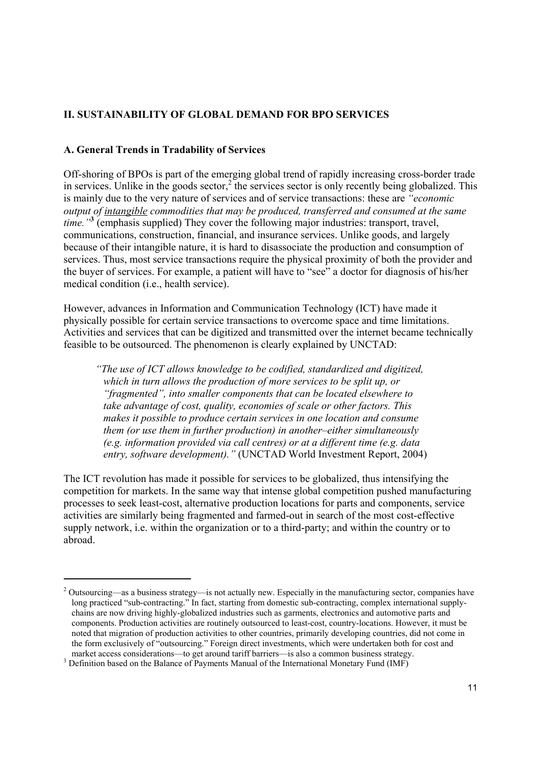# **II. SUSTAINABILITY OF GLOBAL DEMAND FOR BPO SERVICES**

# **A. General Trends in Tradability of Services**

Off-shoring of BPOs is part of the emerging global trend of rapidly increasing cross-border trade in services. Unlike in the goods sector,<sup>2</sup> the services sector is only recently being globalized. This is mainly due to the very nature of services and of service transactions: these are *"economic output of intangible commodities that may be produced, transferred and consumed at the same time."***<sup>3</sup>** (emphasis supplied) They cover the following major industries: transport, travel, communications, construction, financial, and insurance services. Unlike goods, and largely because of their intangible nature, it is hard to disassociate the production and consumption of services. Thus, most service transactions require the physical proximity of both the provider and the buyer of services. For example, a patient will have to "see" a doctor for diagnosis of his/her medical condition (i.e., health service).

However, advances in Information and Communication Technology (ICT) have made it physically possible for certain service transactions to overcome space and time limitations. Activities and services that can be digitized and transmitted over the internet became technically feasible to be outsourced. The phenomenon is clearly explained by UNCTAD:

*"The use of ICT allows knowledge to be codified, standardized and digitized, which in turn allows the production of more services to be split up, or "fragmented", into smaller components that can be located elsewhere to take advantage of cost, quality, economies of scale or other factors. This makes it possible to produce certain services in one location and consume them (or use them in further production) in another–either simultaneously (e.g. information provided via call centres) or at a different time (e.g. data entry, software development)."* (UNCTAD World Investment Report, 2004)

The ICT revolution has made it possible for services to be globalized, thus intensifying the competition for markets. In the same way that intense global competition pushed manufacturing processes to seek least-cost, alternative production locations for parts and components, service activities are similarly being fragmented and farmed-out in search of the most cost-effective supply network, i.e. within the organization or to a third-party; and within the country or to abroad.

  $2$  Outsourcing—as a business strategy—is not actually new. Especially in the manufacturing sector, companies have long practiced "sub-contracting." In fact, starting from domestic sub-contracting, complex international supplychains are now driving highly-globalized industries such as garments, electronics and automotive parts and components. Production activities are routinely outsourced to least-cost, country-locations. However, it must be noted that migration of production activities to other countries, primarily developing countries, did not come in the form exclusively of "outsourcing." Foreign direct investments, which were undertaken both for cost and market access considerations—to get around tariff barriers—is also a common business strategy. 3

 $3$  Definition based on the Balance of Payments Manual of the International Monetary Fund (IMF)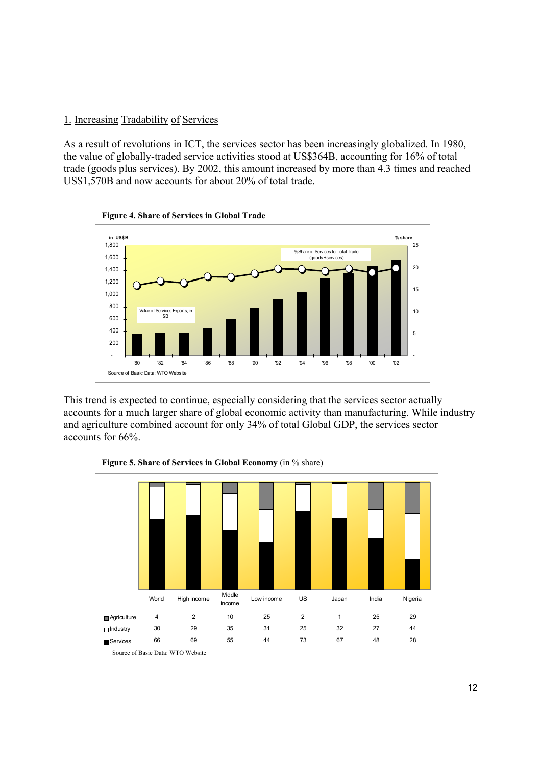# 1. Increasing Tradability of Services

As a result of revolutions in ICT, the services sector has been increasingly globalized. In 1980, the value of globally-traded service activities stood at US\$364B, accounting for 16% of total trade (goods plus services). By 2002, this amount increased by more than 4.3 times and reached US\$1,570B and now accounts for about 20% of total trade.



**Figure 4. Share of Services in Global Trade**

This trend is expected to continue, especially considering that the services sector actually accounts for a much larger share of global economic activity than manufacturing. While industry and agriculture combined account for only 34% of total Global GDP, the services sector accounts for 66%.



**Figure 5. Share of Services in Global Economy** (in % share)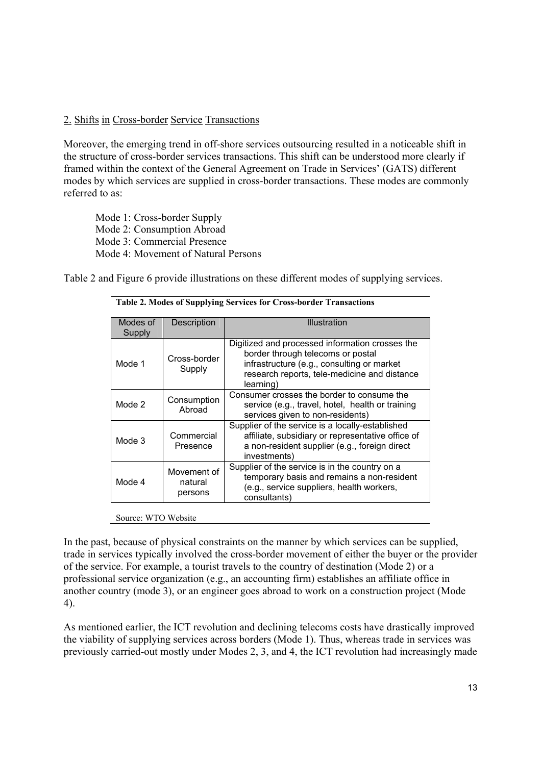# 2. Shifts in Cross-border Service Transactions

Moreover, the emerging trend in off-shore services outsourcing resulted in a noticeable shift in the structure of cross-border services transactions. This shift can be understood more clearly if framed within the context of the General Agreement on Trade in Services' (GATS) different modes by which services are supplied in cross-border transactions. These modes are commonly referred to as:

Mode 1: Cross-border Supply Mode 2: Consumption Abroad Mode 3: Commercial Presence Mode 4: Movement of Natural Persons

Table 2 and Figure 6 provide illustrations on these different modes of supplying services.

| Modes of<br>Supply | Description                       | Illustration                                                                                                                                                                                    |
|--------------------|-----------------------------------|-------------------------------------------------------------------------------------------------------------------------------------------------------------------------------------------------|
| Mode 1             | Cross-border<br>Supply            | Digitized and processed information crosses the<br>border through telecoms or postal<br>infrastructure (e.g., consulting or market<br>research reports, tele-medicine and distance<br>learning) |
| Mode 2             | Consumption<br>Abroad             | Consumer crosses the border to consume the<br>service (e.g., travel, hotel, health or training<br>services given to non-residents)                                                              |
| Mode 3             | Commercial<br>Presence            | Supplier of the service is a locally-established<br>affiliate, subsidiary or representative office of<br>a non-resident supplier (e.g., foreign direct<br>investments)                          |
| Mode 4             | Movement of<br>natural<br>persons | Supplier of the service is in the country on a<br>temporary basis and remains a non-resident<br>(e.g., service suppliers, health workers,<br>consultants)                                       |

**Table 2. Modes of Supplying Services for Cross-border Transactions** 

Source: WTO Website

In the past, because of physical constraints on the manner by which services can be supplied, trade in services typically involved the cross-border movement of either the buyer or the provider of the service. For example, a tourist travels to the country of destination (Mode 2) or a professional service organization (e.g., an accounting firm) establishes an affiliate office in another country (mode 3), or an engineer goes abroad to work on a construction project (Mode 4).

As mentioned earlier, the ICT revolution and declining telecoms costs have drastically improved the viability of supplying services across borders (Mode 1). Thus, whereas trade in services was previously carried-out mostly under Modes 2, 3, and 4, the ICT revolution had increasingly made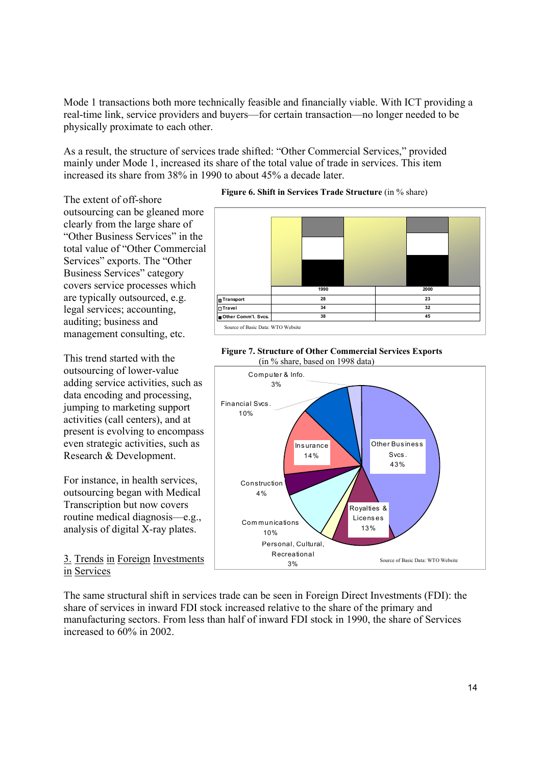Mode 1 transactions both more technically feasible and financially viable. With ICT providing a real-time link, service providers and buyers—for certain transaction—no longer needed to be physically proximate to each other.

As a result, the structure of services trade shifted: "Other Commercial Services," provided mainly under Mode 1, increased its share of the total value of trade in services. This item increased its share from 38% in 1990 to about 45% a decade later.

The extent of off-shore outsourcing can be gleaned more clearly from the large share of "Other Business Services" in the total value of "Other Commercial Services" exports. The "Other Business Services" category covers service processes which are typically outsourced, e.g. legal services; accounting, auditing; business and management consulting, etc.

This trend started with the outsourcing of lower-value adding service activities, such as data encoding and processing, jumping to marketing support activities (call centers), and at present is evolving to encompass even strategic activities, such as Research & Development.

For instance, in health services, outsourcing began with Medical Transcription but now covers routine medical diagnosis—e.g., analysis of digital X-ray plates.

3. Trends in Foreign Investments in Services

The same structural shift in services trade can be seen in Foreign Direct Investments (FDI): the share of services in inward FDI stock increased relative to the share of the primary and manufacturing sectors. From less than half of inward FDI stock in 1990, the share of Services increased to 60% in 2002.

### **Figure 6. Shift in Services Trade Structure** (in % share)





#### **Figure 7. Structure of Other Commercial Services Exports** (in % share, based on 1998 data)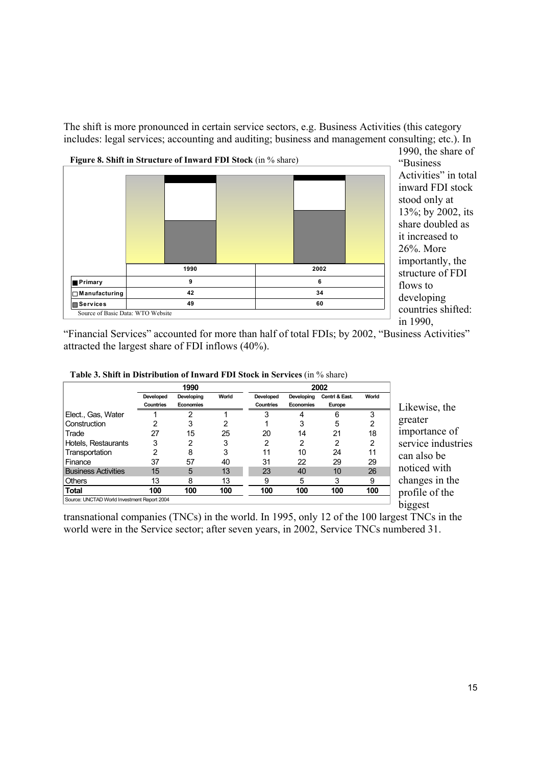The shift is more pronounced in certain service sectors, e.g. Business Activities (this category includes: legal services; accounting and auditing; business and management consulting; etc.). In



1990, the share of "Business Activities" in total inward FDI stock stood only at 13%; by 2002, its share doubled as it increased to 26%. More importantly, the structure of FDI flows to developing countries shifted: in 1990,

"Financial Services" accounted for more than half of total FDIs; by 2002, "Business Activities" attracted the largest share of FDI inflows (40%).

|                                             | 1990                   |                         |       |                        |                         | 2002                     |       |
|---------------------------------------------|------------------------|-------------------------|-------|------------------------|-------------------------|--------------------------|-------|
|                                             | Developed<br>Countries | Developing<br>Economies | World | Developed<br>Countries | Developing<br>Economies | Centri & East.<br>Europe | World |
| Elect., Gas, Water                          |                        | ົ                       |       |                        |                         | 6                        | 3     |
| Construction                                |                        | 3                       | າ     |                        | 3                       | 5                        | 2     |
| Trade                                       | 27                     | 15                      | 25    | 20                     | 14                      | 21                       | 18    |
| Hotels, Restaurants                         | 3                      | 2                       | 3     | 2                      | 2                       | 2                        | 2     |
| Transportation                              |                        | 8                       | 3     | 11                     | 10                      | 24                       | 11    |
| Finance                                     | 37                     | 57                      | 40    | 31                     | 22                      | 29                       | 29    |
| <b>Business Activities</b>                  | 15                     | 5                       | 13    | 23                     | 40                      | 10                       | 26    |
| <b>Others</b>                               | 13                     | 8                       | 13    | 9                      | 5                       | 3                        | 9     |
| Total                                       | 100                    | 100                     | 100   | 100                    | 100                     | 100                      | 100   |
| Source: UNCTAD World Investment Report 2004 |                        |                         |       |                        |                         |                          |       |

**Table 3. Shift in Distribution of Inward FDI Stock in Services** (in % share)

Likewise, the greater importance of service industries can also be noticed with changes in the profile of the biggest

transnational companies (TNCs) in the world. In 1995, only 12 of the 100 largest TNCs in the world were in the Service sector; after seven years, in 2002, Service TNCs numbered 31.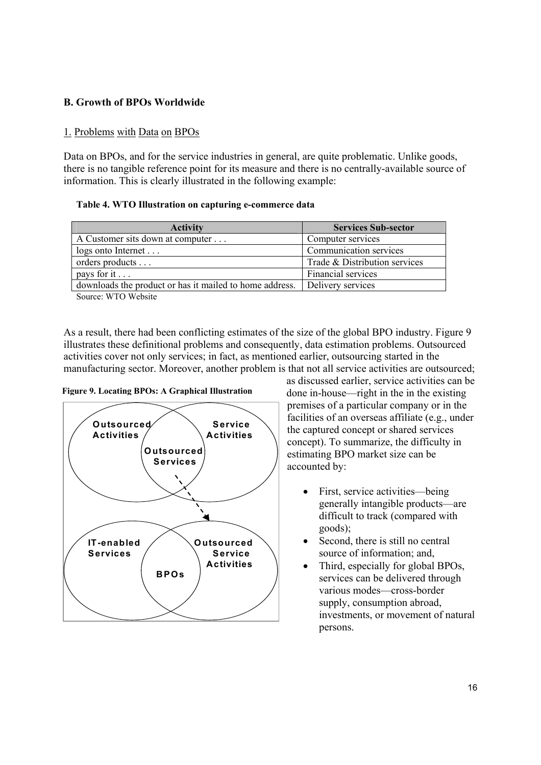# **B. Growth of BPOs Worldwide**

# 1. Problems with Data on BPOs

Data on BPOs, and for the service industries in general, are quite problematic. Unlike goods, there is no tangible reference point for its measure and there is no centrally-available source of information. This is clearly illustrated in the following example:

**Table 4. WTO Illustration on capturing e-commerce data** 

| <b>Activity</b>                                         | <b>Services Sub-sector</b>    |
|---------------------------------------------------------|-------------------------------|
| A Customer sits down at computer                        | Computer services             |
| $\log s$ onto Internet                                  | Communication services        |
| orders products                                         | Trade & Distribution services |
| pays for it $\ldots$                                    | Financial services            |
| downloads the product or has it mailed to home address. | Delivery services             |

Source: WTO Website

As a result, there had been conflicting estimates of the size of the global BPO industry. Figure 9 illustrates these definitional problems and consequently, data estimation problems. Outsourced activities cover not only services; in fact, as mentioned earlier, outsourcing started in the manufacturing sector. Moreover, another problem is that not all service activities are outsourced;



**Figure 9. Locating BPOs: A Graphical Illustration**

as discussed earlier, service activities can be done in-house—right in the in the existing premises of a particular company or in the facilities of an overseas affiliate (e.g., under the captured concept or shared services concept). To summarize, the difficulty in estimating BPO market size can be accounted by:

- First, service activities—being generally intangible products—are difficult to track (compared with goods);
- Second, there is still no central source of information; and,
- Third, especially for global BPOs, services can be delivered through various modes—cross-border supply, consumption abroad, investments, or movement of natural persons.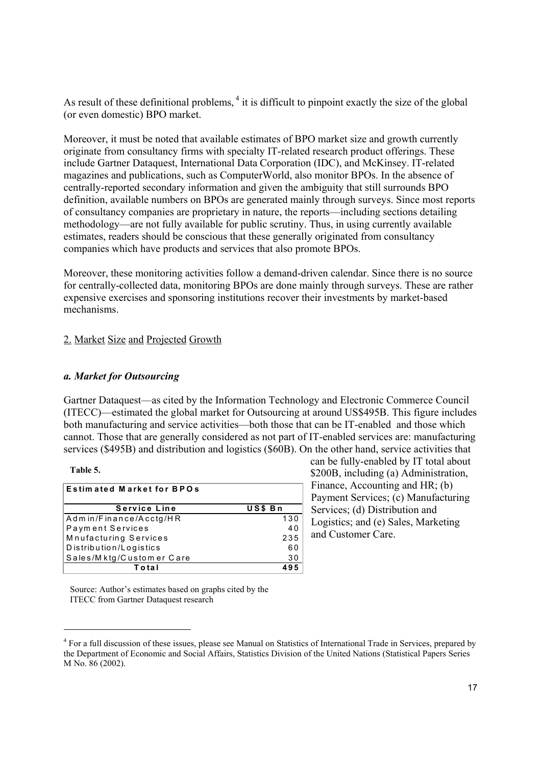As result of these definitional problems,  $4$  it is difficult to pinpoint exactly the size of the global (or even domestic) BPO market.

Moreover, it must be noted that available estimates of BPO market size and growth currently originate from consultancy firms with specialty IT-related research product offerings. These include Gartner Dataquest, International Data Corporation (IDC), and McKinsey. IT-related magazines and publications, such as ComputerWorld, also monitor BPOs. In the absence of centrally-reported secondary information and given the ambiguity that still surrounds BPO definition, available numbers on BPOs are generated mainly through surveys. Since most reports of consultancy companies are proprietary in nature, the reports—including sections detailing methodology—are not fully available for public scrutiny. Thus, in using currently available estimates, readers should be conscious that these generally originated from consultancy companies which have products and services that also promote BPOs.

Moreover, these monitoring activities follow a demand-driven calendar. Since there is no source for centrally-collected data, monitoring BPOs are done mainly through surveys. These are rather expensive exercises and sponsoring institutions recover their investments by market-based mechanisms.

# 2. Market Size and Projected Growth

### *a. Market for Outsourcing*

Gartner Dataquest—as cited by the Information Technology and Electronic Commerce Council (ITECC)—estimated the global market for Outsourcing at around US\$495B. This figure includes both manufacturing and service activities—both those that can be IT-enabled and those which cannot. Those that are generally considered as not part of IT-enabled services are: manufacturing services (\$495B) and distribution and logistics (\$60B). On the other hand, service activities that

#### **Table 5.**

| <b>Estimated Market for BPOs</b> |         |  |  |  |
|----------------------------------|---------|--|--|--|
|                                  |         |  |  |  |
| <b>Service Line</b>              | US\$ Bn |  |  |  |
| Admin/Finance/Acctg/HR           | 130     |  |  |  |
| Payment Services                 | 40      |  |  |  |
| Mnufacturing Services            | 235     |  |  |  |
| Distribution/Logistics           | 60      |  |  |  |
| Sales/Mktg/Customer Care         | 30      |  |  |  |
| Total                            | 95      |  |  |  |

can be fully-enabled by IT total about \$200B, including (a) Administration, Finance, Accounting and HR; (b) Payment Services; (c) Manufacturing Services; (d) Distribution and Logistics; and (e) Sales, Marketing and Customer Care.

Source: Author's estimates based on graphs cited by the ITECC from Gartner Dataquest research

<sup>&</sup>lt;sup>4</sup> For a full discussion of these issues, please see Manual on Statistics of International Trade in Services, prepared by the Department of Economic and Social Affairs, Statistics Division of the United Nations (Statistical Papers Series M No. 86 (2002).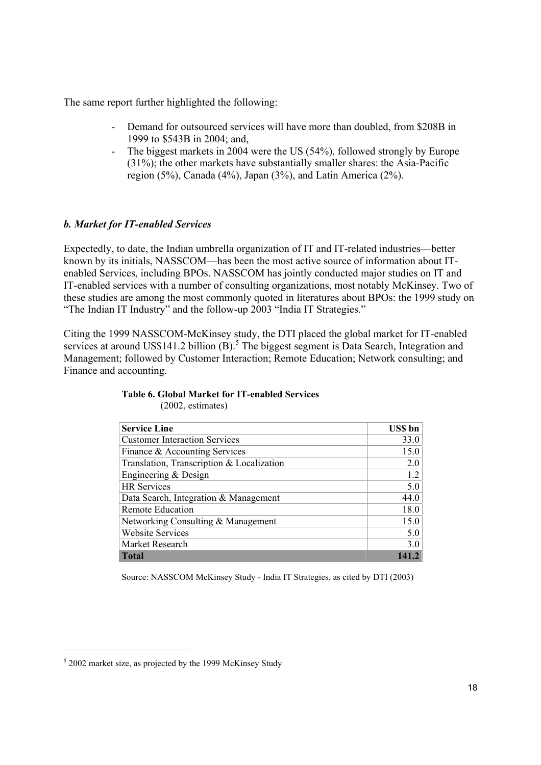The same report further highlighted the following:

- Demand for outsourced services will have more than doubled, from \$208B in 1999 to \$543B in 2004; and,
- The biggest markets in 2004 were the US (54%), followed strongly by Europe (31%); the other markets have substantially smaller shares: the Asia-Pacific region (5%), Canada (4%), Japan (3%), and Latin America (2%).

# *b. Market for IT-enabled Services*

Expectedly, to date, the Indian umbrella organization of IT and IT-related industries—better known by its initials, NASSCOM—has been the most active source of information about ITenabled Services, including BPOs. NASSCOM has jointly conducted major studies on IT and IT-enabled services with a number of consulting organizations, most notably McKinsey. Two of these studies are among the most commonly quoted in literatures about BPOs: the 1999 study on "The Indian IT Industry" and the follow-up 2003 "India IT Strategies."

Citing the 1999 NASSCOM-McKinsey study, the DTI placed the global market for IT-enabled services at around US\$141.2 billion  $(B)$ .<sup>5</sup> The biggest segment is Data Search, Integration and Management; followed by Customer Interaction; Remote Education; Network consulting; and Finance and accounting.

| <b>Service Line</b>                       | <b>USS</b> bn |
|-------------------------------------------|---------------|
| <b>Customer Interaction Services</b>      | 33.0          |
| Finance & Accounting Services             | 15.0          |
| Translation, Transcription & Localization | 2.0           |
| Engineering & Design                      | 1.2           |
| <b>HR</b> Services                        | 5.0           |
| Data Search, Integration & Management     | 44.0          |
| Remote Education                          | 18.0          |
| Networking Consulting & Management        | 15.0          |
| <b>Website Services</b>                   | 5.0           |
| Market Research                           | 3.0           |
| <b>Total</b>                              |               |

#### **Table 6. Global Market for IT-enabled Services**  (2002, estimates)

Source: NASSCOM McKinsey Study - India IT Strategies, as cited by DTI (2003)

  $52002$  market size, as projected by the 1999 McKinsey Study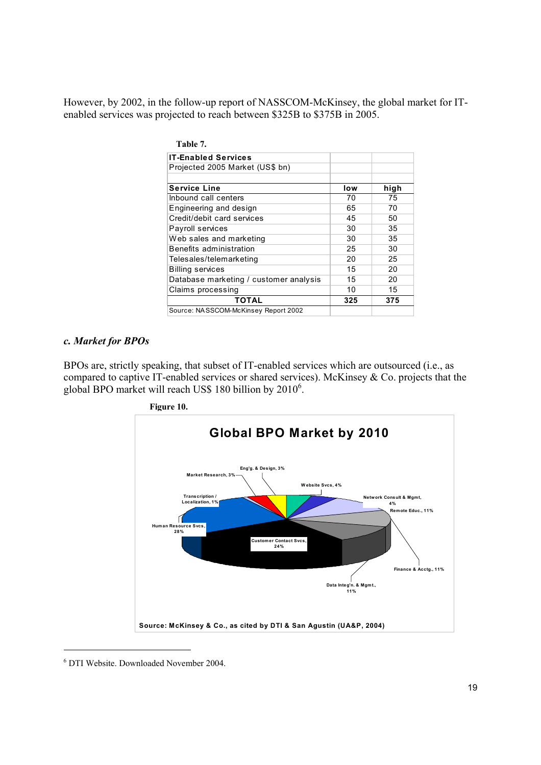However, by 2002, in the follow-up report of NASSCOM-McKinsey, the global market for ITenabled services was projected to reach between \$325B to \$375B in 2005.

| Table 7.                               |     |      |
|----------------------------------------|-----|------|
| <b>IT-Enabled Services</b>             |     |      |
| Projected 2005 Market (US\$ bn)        |     |      |
|                                        |     |      |
| <b>Service Line</b>                    | low | high |
| Inbound call centers                   | 70  | 75   |
| Engineering and design                 | 65  | 70   |
| Credit/debit card services             | 45  | 50   |
| Payroll services                       | 30  | 35   |
| Web sales and marketing                | 30  | 35   |
| <b>Benefits administration</b>         | 25  | 30   |
| Telesales/telemarketing                | 20  | 25   |
| <b>Billing services</b>                | 15  | 20   |
| Database marketing / customer analysis | 15  | 20   |
| Claims processing                      | 10  | 15   |
| TOTAL                                  | 325 | 375  |
| Source: NASSCOM-McKinsey Report 2002   |     |      |

### *c. Market for BPOs*

BPOs are, strictly speaking, that subset of IT-enabled services which are outsourced (i.e., as compared to captive IT-enabled services or shared services). McKinsey & Co. projects that the global BPO market will reach US\$ 180 billion by 2010<sup>6</sup>.



 6 DTI Website. Downloaded November 2004.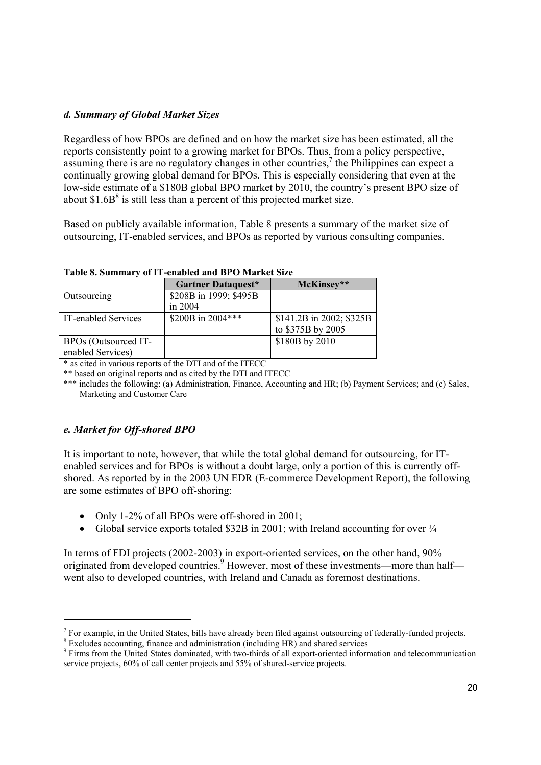# *d. Summary of Global Market Sizes*

Regardless of how BPOs are defined and on how the market size has been estimated, all the reports consistently point to a growing market for BPOs. Thus, from a policy perspective, assuming there is are no regulatory changes in other countries, $\frac{7}{1}$  the Philippines can expect a continually growing global demand for BPOs. This is especially considering that even at the low-side estimate of a \$180B global BPO market by 2010, the country's present BPO size of about  $$1.6B<sup>8</sup>$  is still less than a percent of this projected market size.

Based on publicly available information, Table 8 presents a summary of the market size of outsourcing, IT-enabled services, and BPOs as reported by various consulting companies.

| Taon of Sammar ( of II Anaon'a and DI O Market Side |                        |                          |  |  |  |  |
|-----------------------------------------------------|------------------------|--------------------------|--|--|--|--|
|                                                     | Gartner Dataquest*     | McKinsey**               |  |  |  |  |
| Outsourcing                                         | \$208B in 1999; \$495B |                          |  |  |  |  |
|                                                     | in $2004$              |                          |  |  |  |  |
| IT-enabled Services                                 | \$200B in 2004***      | \$141.2B in 2002; \$325B |  |  |  |  |
|                                                     |                        | to \$375B by 2005        |  |  |  |  |
| BPOs (Outsourced IT-                                |                        | \$180B by 2010           |  |  |  |  |
| enabled Services)                                   |                        |                          |  |  |  |  |

**Table 8. Summary of IT-enabled and BPO Market Size** 

\* as cited in various reports of the DTI and of the ITECC

\*\* based on original reports and as cited by the DTI and ITECC

\*\*\* includes the following: (a) Administration, Finance, Accounting and HR; (b) Payment Services; and (c) Sales, Marketing and Customer Care

# *e. Market for Off-shored BPO*

It is important to note, however, that while the total global demand for outsourcing, for ITenabled services and for BPOs is without a doubt large, only a portion of this is currently offshored. As reported by in the 2003 UN EDR (E-commerce Development Report), the following are some estimates of BPO off-shoring:

- Only 1-2% of all BPOs were off-shored in 2001;
- Global service exports totaled \$32B in 2001; with Ireland accounting for over  $\frac{1}{4}$

In terms of FDI projects (2002-2003) in export-oriented services, on the other hand, 90% originated from developed countries.<sup>9</sup> However, most of these investments—more than half went also to developed countries, with Ireland and Canada as foremost destinations.

 $<sup>7</sup>$  For example, in the United States, bills have already been filed against outsourcing of federally-funded projects.</sup>

<sup>&</sup>lt;sup>8</sup> Excludes accounting, finance and administration (including HR) and shared services

<sup>&</sup>lt;sup>9</sup> Firms from the United States dominated, with two-thirds of all export-oriented information and telecommunication service projects, 60% of call center projects and 55% of shared-service projects.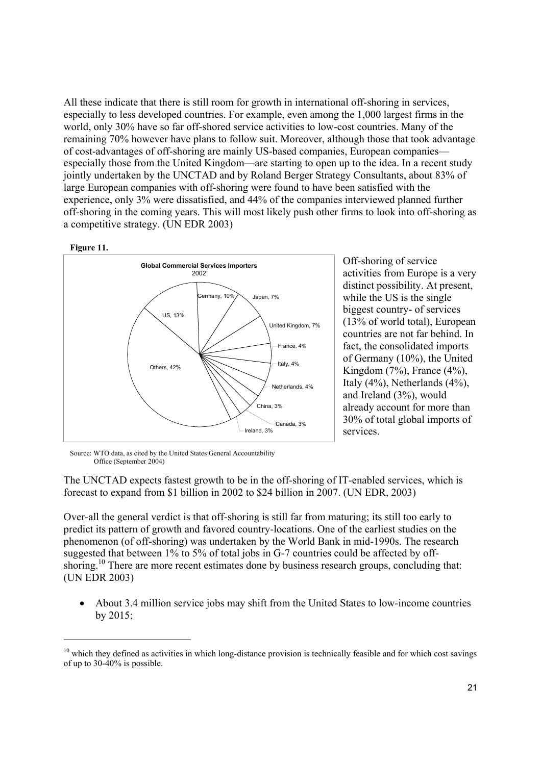All these indicate that there is still room for growth in international off-shoring in services, especially to less developed countries. For example, even among the 1,000 largest firms in the world, only 30% have so far off-shored service activities to low-cost countries. Many of the remaining 70% however have plans to follow suit. Moreover, although those that took advantage of cost-advantages of off-shoring are mainly US-based companies, European companies especially those from the United Kingdom—are starting to open up to the idea. In a recent study jointly undertaken by the UNCTAD and by Roland Berger Strategy Consultants, about 83% of large European companies with off-shoring were found to have been satisfied with the experience, only 3% were dissatisfied, and 44% of the companies interviewed planned further off-shoring in the coming years. This will most likely push other firms to look into off-shoring as a competitive strategy. (UN EDR 2003)





Off-shoring of service activities from Europe is a very distinct possibility. At present, while the US is the single biggest country- of services (13% of world total), European countries are not far behind. In fact, the consolidated imports of Germany (10%), the United Kingdom (7%), France (4%), Italy (4%), Netherlands (4%), and Ireland (3%), would already account for more than 30% of total global imports of services.

Source: WTO data, as cited by the United States General Accountability Office (September 2004)

The UNCTAD expects fastest growth to be in the off-shoring of IT-enabled services, which is forecast to expand from \$1 billion in 2002 to \$24 billion in 2007. (UN EDR, 2003)

Over-all the general verdict is that off-shoring is still far from maturing; its still too early to predict its pattern of growth and favored country-locations. One of the earliest studies on the phenomenon (of off-shoring) was undertaken by the World Bank in mid-1990s. The research suggested that between 1% to 5% of total jobs in G-7 countries could be affected by offshoring.<sup>10</sup> There are more recent estimates done by business research groups, concluding that: (UN EDR 2003)

• About 3.4 million service jobs may shift from the United States to low-income countries by 2015;

 $10$  which they defined as activities in which long-distance provision is technically feasible and for which cost savings of up to 30-40% is possible.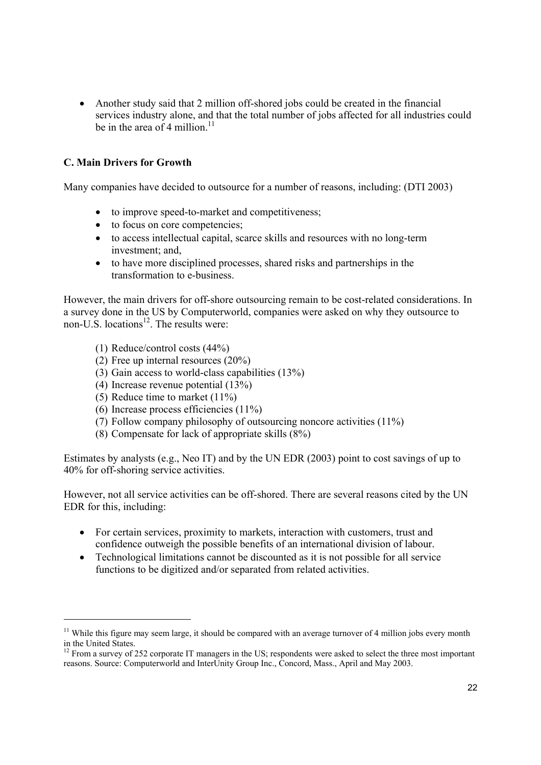• Another study said that 2 million of f-shored jobs could be created in the financial services industry alone, and that the total number of jobs affected for all industries could be in the area of 4 million.<sup>11</sup>

# **C. Main Drivers for Growth**

Many companies have decided to outsource for a number of reasons, including: (DTI 2003)

- to improve speed-to-market and competitiveness;
- to focus on core competencies;
- to access intellectual capital, scarce skills and resources with no long-term investment; and,
- to have more disciplined processes, shared risks and partnerships in the transformation to e-business.

However, the main drivers for off-shore outsourcing remain to be cost-related considerations. In a survey done in the US by Computerworld, companies were asked on why they outsource to non-U.S. locations<sup>12</sup>. The results were:

- (1) Reduce/control costs (44%)
- (2) Free up internal resources (20%)
- (3) Gain access to world-class capabilities (13%)
- (4) Increase revenue potential (13%)
- (5) Reduce time to market (11%)

- (6) Increase process efficiencies  $(11\%)$
- (7) Follow company philosophy of outsourcing noncore activities (11%)
- (8) Compensate for lack of appropriate skills (8%)

Estimates by analysts (e.g., Neo IT) and by the UN EDR (2003) point to cost savings of up to 40% for off-shoring service activities.

However, not all service activities can be off-shored. There are several reasons cited by the UN EDR for this, including:

- For certain services, proximity to markets, interaction with customers, trust and confidence outweigh the possible benefits of an international division of labour.
- Technological limitations cannot be discounted as it is not possible for all service functions to be digitized and/or separated from related activities.

 $11$  While this figure may seem large, it should be compared with an average turnover of 4 million jobs every month in the United States.

 $12$  From a survey of 252 corporate IT managers in the US; respondents were asked to select the three most important reasons. Source: Computerworld and InterUnity Group Inc., Concord, Mass., April and May 2003.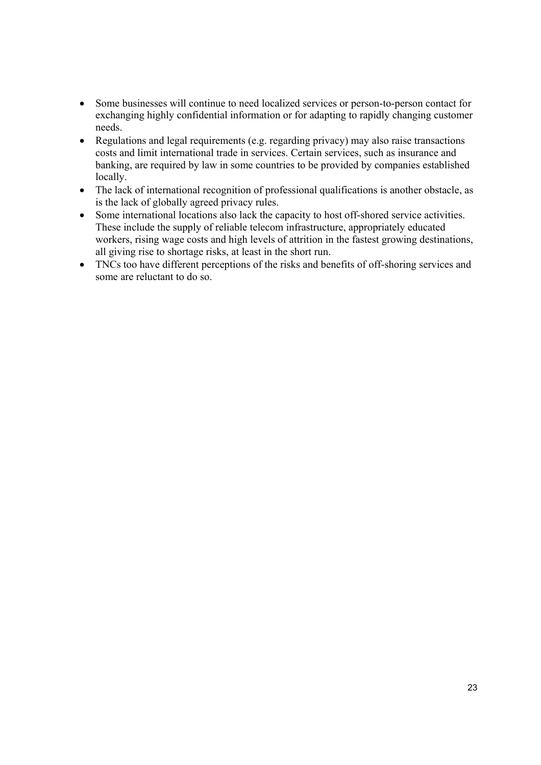- Some businesses will continue to need localized services or person-to-person contact for exchanging highly confidential information or for adapting to rapidly changing customer needs.
- Regulations and legal requirements (e.g. regarding privacy) may also raise transactions costs and limit international trade in services. Certain services, such as insurance and banking, are required by law in some countries to be provided by companies established locally.
- The lack of international recognition of professional qualifications is another obstacle, as is the lack of globally agreed privacy rules.
- Some international locations also lack the capacity to host off-shored service activities. These include the supply of reliable telecom infrastructure, appropriately educated workers, rising wage costs and high levels of attrition in the fastest growing destinations, all giving rise to shortage risks, at least in the short run.
- TNCs too have different perceptions of the risks and benefits of off-shoring services and some are reluctant to do so.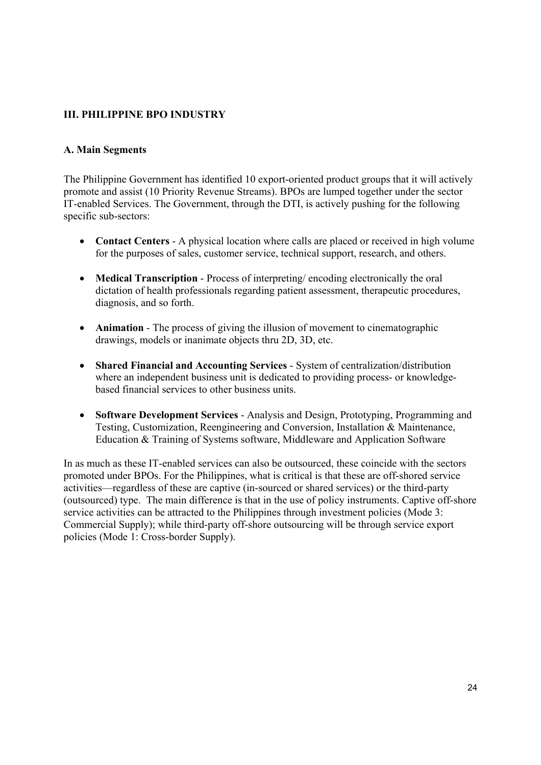# **III. PHILIPPINE BPO INDUSTRY**

# **A. Main Segments**

The Philippine Government has identified 10 export-oriented product groups that it will actively promote and assist (10 Priority Revenue Streams). BPOs are lumped together under the sector IT-enabled Services. The Government, through the DTI, is actively pushing for the following specific sub-sectors:

- **Contact Centers** A physical location where calls are placed or received in high volume for the purposes of sales, customer service, technical support, research, and others.
- **Medical Transcription** Process of interpreting/ encoding electronically the oral dictation of health professionals regarding patient assessment, therapeutic procedures, diagnosis, and so forth.
- **Animation** The process of giving the illusion of movement to cinematographic drawings, models or inanimate objects thru 2D, 3D, etc.
- **Shared Financial and Accounting Services** System of centralization/distribution where an independent business unit is dedicated to providing process- or knowledgebased financial services to other business units.
- **Software Development Services** Analysis and Design, Prototyping, Programming and Testing, Customization, Reengineering and Conversion, Installation & Maintenance, Education & Training of Systems software, Middleware and Application Software

In as much as these IT-enabled services can also be outsourced, these coincide with the sectors promoted under BPOs. For the Philippines, what is critical is that these are off-shored service activities—regardless of these are captive (in-sourced or shared services) or the third-party (outsourced) type. The main difference is that in the use of policy instruments. Captive off-shore service activities can be attracted to the Philippines through investment policies (Mode 3: Commercial Supply); while third-party off-shore outsourcing will be through service export policies (Mode 1: Cross-border Supply).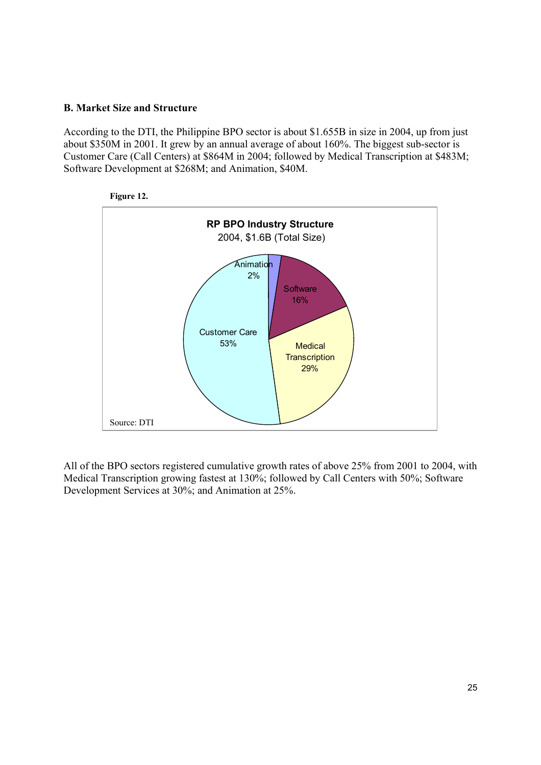# **B. Market Size and Structure**

According to the DTI, the Philippine BPO sector is about \$1.655B in size in 2004, up from just about \$350M in 2001. It grew by an annual average of about 160%. The biggest sub-sector is Customer Care (Call Centers) at \$864M in 2004; followed by Medical Transcription at \$483M; Software Development at \$268M; and Animation, \$40M.





All of the BPO sectors registered cumulative growth rates of above 25% from 2001 to 2004, with Medical Transcription growing fastest at 130%; followed by Call Centers with 50%; Software Development Services at 30%; and Animation at 25%.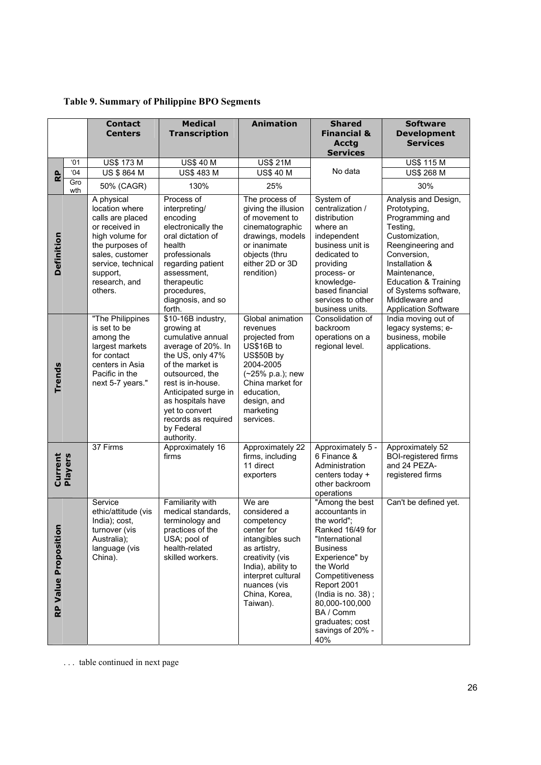|                      |            | <b>Contact</b>                                                                                                                                                                            | <b>Medical</b>                                                                                                                                                                                                                                                                | <b>Animation</b>                                                                                                                                                                                   | <b>Shared</b>                                                                                                                                                                                                                                                                 | <b>Software</b>                                                                                                                                                                                                                                                         |
|----------------------|------------|-------------------------------------------------------------------------------------------------------------------------------------------------------------------------------------------|-------------------------------------------------------------------------------------------------------------------------------------------------------------------------------------------------------------------------------------------------------------------------------|----------------------------------------------------------------------------------------------------------------------------------------------------------------------------------------------------|-------------------------------------------------------------------------------------------------------------------------------------------------------------------------------------------------------------------------------------------------------------------------------|-------------------------------------------------------------------------------------------------------------------------------------------------------------------------------------------------------------------------------------------------------------------------|
|                      |            | <b>Centers</b>                                                                                                                                                                            | <b>Transcription</b>                                                                                                                                                                                                                                                          |                                                                                                                                                                                                    | <b>Financial &amp;</b>                                                                                                                                                                                                                                                        | <b>Development</b>                                                                                                                                                                                                                                                      |
|                      |            |                                                                                                                                                                                           |                                                                                                                                                                                                                                                                               |                                                                                                                                                                                                    | <b>Acctg</b><br><b>Services</b>                                                                                                                                                                                                                                               | <b>Services</b>                                                                                                                                                                                                                                                         |
|                      | '01        | <b>US\$ 173 M</b>                                                                                                                                                                         | <b>US\$ 40 M</b>                                                                                                                                                                                                                                                              | <b>US\$ 21M</b>                                                                                                                                                                                    |                                                                                                                                                                                                                                                                               | <b>US\$ 115 M</b>                                                                                                                                                                                                                                                       |
| RP                   | 04         | <b>US \$ 864 M</b>                                                                                                                                                                        | <b>US\$ 483 M</b>                                                                                                                                                                                                                                                             | <b>US\$ 40 M</b>                                                                                                                                                                                   | No data                                                                                                                                                                                                                                                                       | <b>US\$ 268 M</b>                                                                                                                                                                                                                                                       |
|                      | Gro<br>wth | 50% (CAGR)                                                                                                                                                                                | 130%                                                                                                                                                                                                                                                                          | 25%                                                                                                                                                                                                |                                                                                                                                                                                                                                                                               | 30%                                                                                                                                                                                                                                                                     |
| Definition           |            | A physical<br>location where<br>calls are placed<br>or received in<br>high volume for<br>the purposes of<br>sales, customer<br>service, technical<br>support,<br>research, and<br>others. | Process of<br>interpreting/<br>encoding<br>electronically the<br>oral dictation of<br>health<br>professionals<br>regarding patient<br>assessment,<br>therapeutic<br>procedures,<br>diagnosis, and so<br>forth.                                                                | The process of<br>giving the illusion<br>of movement to<br>cinematographic<br>drawings, models<br>or inanimate<br>objects (thru<br>either 2D or 3D<br>rendition)                                   | System of<br>centralization /<br>distribution<br>where an<br>independent<br>business unit is<br>dedicated to<br>providing<br>process- or<br>knowledge-<br>based financial<br>services to other<br>business units.                                                             | Analysis and Design,<br>Prototyping,<br>Programming and<br>Testing,<br>Customization,<br>Reengineering and<br>Conversion,<br>Installation &<br>Maintenance,<br><b>Education &amp; Training</b><br>of Systems software,<br>Middleware and<br><b>Application Software</b> |
| Trends               |            | "The Philippines<br>is set to be<br>among the<br>largest markets<br>for contact<br>centers in Asia<br>Pacific in the<br>next 5-7 years."                                                  | \$10-16B industry,<br>growing at<br>cumulative annual<br>average of 20%. In<br>the US, only 47%<br>of the market is<br>outsourced, the<br>rest is in-house.<br>Anticipated surge in<br>as hospitals have<br>yet to convert<br>records as required<br>by Federal<br>authority. | Global animation<br>revenues<br>projected from<br>US\$16B to<br>US\$50B by<br>2004-2005<br>(~25% p.a.); new<br>China market for<br>education,<br>design, and<br>marketing<br>services.             | Consolidation of<br>backroom<br>operations on a<br>regional level.                                                                                                                                                                                                            | India moving out of<br>legacy systems; e-<br>business, mobile<br>applications.                                                                                                                                                                                          |
| Current<br>Players   |            | 37 Firms                                                                                                                                                                                  | Approximately 16<br>firms                                                                                                                                                                                                                                                     | Approximately 22<br>firms, including<br>11 direct<br>exporters                                                                                                                                     | Approximately 5 -<br>6 Finance &<br>Administration<br>centers today +<br>other backroom<br>operations                                                                                                                                                                         | Approximately 52<br><b>BOI-registered firms</b><br>and 24 PEZA-<br>registered firms                                                                                                                                                                                     |
| RP Value Proposition |            | Service<br>ethic/attitude (vis<br>India); cost,<br>turnover (vis<br>Australia);<br>language (vis<br>China).                                                                               | Familiarity with<br>medical standards,<br>terminology and<br>practices of the<br>USA; pool of<br>health-related<br>skilled workers.                                                                                                                                           | We are<br>considered a<br>competency<br>center for<br>intangibles such<br>as artistry,<br>creativity (vis<br>India), ability to<br>interpret cultural<br>nuances (vis<br>China, Korea,<br>Taiwan). | "Among the best<br>accountants in<br>the world";<br>Ranked 16/49 for<br>"International<br><b>Business</b><br>Experience" by<br>the World<br>Competitiveness<br>Report 2001<br>(India is no. 38);<br>80,000-100,000<br>BA / Comm<br>graduates; cost<br>savings of 20% -<br>40% | Can't be defined yet.                                                                                                                                                                                                                                                   |

# **Table 9. Summary of Philippine BPO Segments**

. . . table continued in next page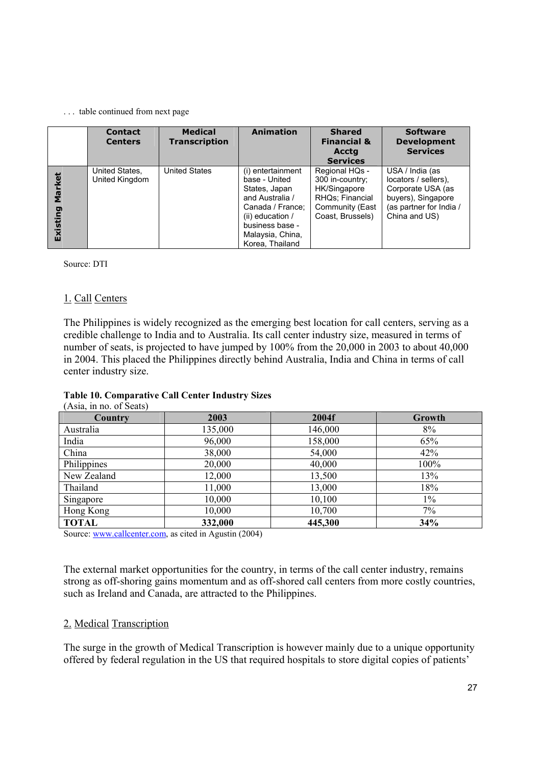#### . . . table continued from next page

|                    | <b>Contact</b><br><b>Centers</b> | <b>Medical</b><br><b>Transcription</b> | <b>Animation</b>                                                                                                                                                           | <b>Shared</b><br><b>Financial &amp;</b><br><b>Acctg</b><br><b>Services</b>                                  | <b>Software</b><br><b>Development</b><br><b>Services</b>                                                                       |
|--------------------|----------------------------------|----------------------------------------|----------------------------------------------------------------------------------------------------------------------------------------------------------------------------|-------------------------------------------------------------------------------------------------------------|--------------------------------------------------------------------------------------------------------------------------------|
| Market<br>Existing | United States,<br>United Kingdom | <b>United States</b>                   | (i) entertainment<br>base - United<br>States, Japan<br>and Australia /<br>Canada / France;<br>(ii) education $/$<br>business base -<br>Malaysia, China,<br>Korea, Thailand | Regional HQs -<br>300 in-country;<br>HK/Singapore<br>RHQs: Financial<br>Community (East<br>Coast, Brussels) | USA / India (as<br>locators / sellers),<br>Corporate USA (as<br>buyers), Singapore<br>(as partner for India /<br>China and US) |

Source: DTI

# 1. Call Centers

The Philippines is widely recognized as the emerging best location for call centers, serving as a credible challenge to India and to Australia. Its call center industry size, measured in terms of number of seats, is projected to have jumped by 100% from the 20,000 in 2003 to about 40,000 in 2004. This placed the Philippines directly behind Australia, India and China in terms of call center industry size.

# **Table 10. Comparative Call Center Industry Sizes**

| (Asia, in no. of Seats) |         |         |               |
|-------------------------|---------|---------|---------------|
| Country                 | 2003    | 2004f   | <b>Growth</b> |
| Australia               | 135,000 | 146,000 | 8%            |
| India                   | 96,000  | 158,000 | 65%           |
| China                   | 38,000  | 54,000  | 42%           |
| Philippines             | 20,000  | 40,000  | 100%          |
| New Zealand             | 12,000  | 13,500  | 13%           |
| Thailand                | 11,000  | 13,000  | 18%           |
| Singapore               | 10,000  | 10,100  | $1\%$         |
| Hong Kong               | 10,000  | 10,700  | $7\%$         |
| <b>TOTAL</b>            | 332,000 | 445,300 | 34%           |

Source: www.callcenter.com, as cited in Agustin (2004)

The external market opportunities for the country, in terms of the call center industry, remains strong as off-shoring gains momentum and as off-shored call centers from more costly countries, such as Ireland and Canada, are attracted to the Philippines.

# 2. Medical Transcription

The surge in the growth of Medical Transcription is however mainly due to a unique opportunity offered by federal regulation in the US that required hospitals to store digital copies of patients'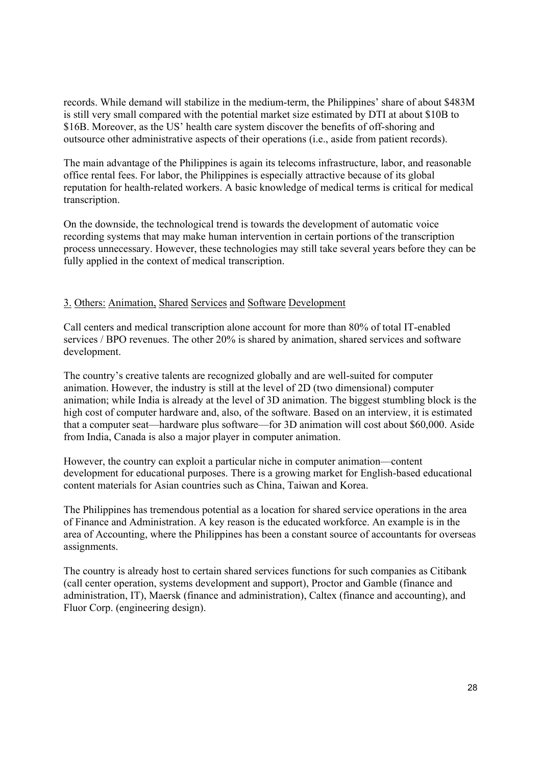records. While demand will stabilize in the medium-term, the Philippines' share of about \$483M is still very small compared with the potential market size estimated by DTI at about \$10B to \$16B. Moreover, as the US' health care system discover the benefits of off-shoring and outsource other administrative aspects of their operations (i.e., aside from patient records).

The main advantage of the Philippines is again its telecoms infrastructure, labor, and reasonable office rental fees. For labor, the Philippines is especially attractive because of its global reputation for health-related workers. A basic knowledge of medical terms is critical for medical transcription.

On the downside, the technological trend is towards the development of automatic voice recording systems that may make human intervention in certain portions of the transcription process unnecessary. However, these technologies may still take several years before they can be fully applied in the context of medical transcription.

# 3. Others: Animation, Shared Services and Software Development

Call centers and medical transcription alone account for more than 80% of total IT-enabled services / BPO revenues. The other 20% is shared by animation, shared services and software development.

The country's creative talents are recognized globally and are well-suited for computer animation. However, the industry is still at the level of 2D (two dimensional) computer animation; while India is already at the level of 3D animation. The biggest stumbling block is the high cost of computer hardware and, also, of the software. Based on an interview, it is estimated that a computer seat—hardware plus software—for 3D animation will cost about \$60,000. Aside from India, Canada is also a major player in computer animation.

However, the country can exploit a particular niche in computer animation—content development for educational purposes. There is a growing market for English-based educational content materials for Asian countries such as China, Taiwan and Korea.

The Philippines has tremendous potential as a location for shared service operations in the area of Finance and Administration. A key reason is the educated workforce. An example is in the area of Accounting, where the Philippines has been a constant source of accountants for overseas assignments.

The country is already host to certain shared services functions for such companies as Citibank (call center operation, systems development and support), Proctor and Gamble (finance and administration, IT), Maersk (finance and administration), Caltex (finance and accounting), and Fluor Corp. (engineering design).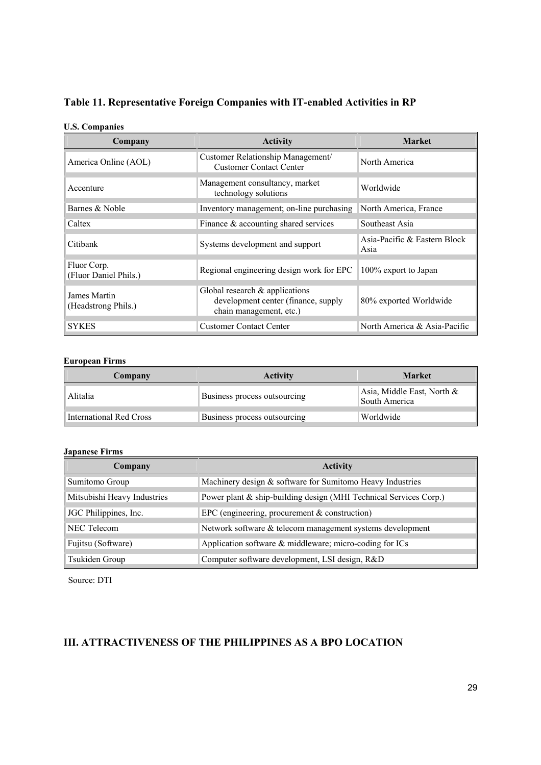# **Table 11. Representative Foreign Companies with IT-enabled Activities in RP**

### **U.S. Companies**

| Company                              | <b>Activity</b>                                                                                     | <b>Market</b>                        |
|--------------------------------------|-----------------------------------------------------------------------------------------------------|--------------------------------------|
| America Online (AOL)                 | Customer Relationship Management/<br><b>Customer Contact Center</b>                                 | North America                        |
| Accenture                            | Management consultancy, market<br>technology solutions                                              | Worldwide                            |
| Barnes & Noble                       | Inventory management; on-line purchasing                                                            | North America, France                |
| Caltex                               | Finance $\&$ accounting shared services                                                             | Southeast Asia                       |
| Citibank                             | Systems development and support                                                                     | Asia-Pacific & Eastern Block<br>Asia |
| Fluor Corp.<br>(Fluor Daniel Phils.) | Regional engineering design work for EPC                                                            | 100% export to Japan                 |
| James Martin<br>(Headstrong Phils.)  | Global research $\&$ applications<br>development center (finance, supply<br>chain management, etc.) | 80% exported Worldwide               |
| <b>SYKES</b>                         | <b>Customer Contact Center</b>                                                                      | North America & Asia-Pacific         |

### **European Firms**

| Company                 | <b>Activity</b>              | <b>Market</b>                               |
|-------------------------|------------------------------|---------------------------------------------|
| Alitalia                | Business process outsourcing | Asia, Middle East, North &<br>South America |
| International Red Cross | Business process outsourcing | Worldwide                                   |

#### **Japanese Firms**

| Company                     | <b>Activity</b>                                                   |
|-----------------------------|-------------------------------------------------------------------|
| Sumitomo Group              | Machinery design & software for Sumitomo Heavy Industries         |
| Mitsubishi Heavy Industries | Power plant & ship-building design (MHI Technical Services Corp.) |
| JGC Philippines, Inc.       | EPC (engineering, procurement $&$ construction)                   |
| NEC Telecom                 | Network software & telecom management systems development         |
| Fujitsu (Software)          | Application software & middleware; micro-coding for ICs           |
| Tsukiden Group              | Computer software development, LSI design, R&D                    |

Source: DTI

# **III. ATTRACTIVENESS OF THE PHILIPPINES AS A BPO LOCATION**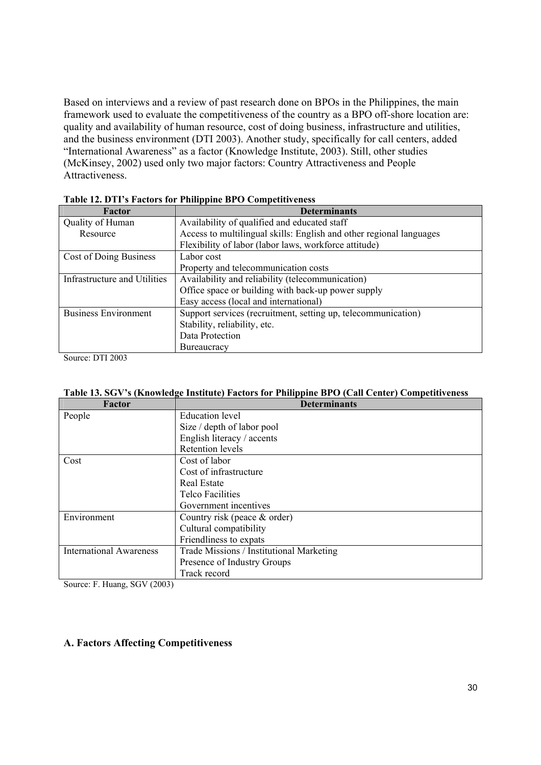Based on interviews and a review of past research done on BPOs in the Philippines, the main framework used to evaluate the competitiveness of the country as a BPO off-shore location are: quality and availability of human resource, cost of doing business, infrastructure and utilities, and the business environment (DTI 2003). Another study, specifically for call centers, added "International Awareness" as a factor (Knowledge Institute, 2003). Still, other studies (McKinsey, 2002) used only two major factors: Country Attractiveness and People Attractiveness.

| Factor                       | Table 12. D 11 5 I actors for Thimppine DI O Competitiveness<br><b>Determinants</b> |
|------------------------------|-------------------------------------------------------------------------------------|
| Quality of Human             | Availability of qualified and educated staff                                        |
| Resource                     | Access to multilingual skills: English and other regional languages                 |
|                              | Flexibility of labor (labor laws, workforce attitude)                               |
| Cost of Doing Business       | Labor cost                                                                          |
|                              | Property and telecommunication costs                                                |
| Infrastructure and Utilities | Availability and reliability (telecommunication)                                    |
|                              | Office space or building with back-up power supply                                  |
|                              | Easy access (local and international)                                               |
| <b>Business Environment</b>  | Support services (recruitment, setting up, telecommunication)                       |
|                              | Stability, reliability, etc.                                                        |
|                              | Data Protection                                                                     |
|                              | <b>Bureaucracy</b>                                                                  |

| Table 12. DTI's Factors for Philippine BPO Competitiveness |  |  |  |  |  |
|------------------------------------------------------------|--|--|--|--|--|
|------------------------------------------------------------|--|--|--|--|--|

Source: DTI 2003

|  | Table 13. SGV's (Knowledge Institute) Factors for Philippine BPO (Call Center) Competitiveness |  |
|--|------------------------------------------------------------------------------------------------|--|
|  |                                                                                                |  |

| Factor                         | <b>Determinants</b>                      |
|--------------------------------|------------------------------------------|
| People                         | Education level                          |
|                                | Size / depth of labor pool               |
|                                | English literacy / accents               |
|                                | Retention levels                         |
| Cost                           | Cost of labor                            |
|                                | Cost of infrastructure                   |
|                                | Real Estate                              |
|                                | <b>Telco Facilities</b>                  |
|                                | Government incentives                    |
| Environment                    | Country risk (peace $&$ order)           |
|                                | Cultural compatibility                   |
|                                | Friendliness to expats                   |
| <b>International Awareness</b> | Trade Missions / Institutional Marketing |
|                                | Presence of Industry Groups              |
|                                | Track record                             |

Source: F. Huang, SGV (2003)

### **A. Factors Affecting Competitiveness**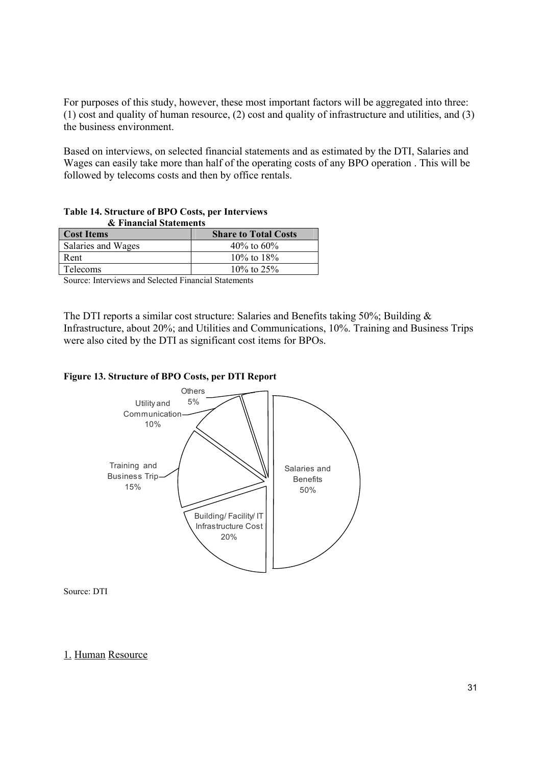For purposes of this study, however, these most important factors will be aggregated into three: (1) cost and quality of human resource, (2) cost and quality of infrastructure and utilities, and (3) the business environment.

Based on interviews, on selected financial statements and as estimated by the DTI, Salaries and Wages can easily take more than half of the operating costs of any BPO operation . This will be followed by telecoms costs and then by office rentals.

| & Financial Statements |                             |  |
|------------------------|-----------------------------|--|
| <b>Cost Items</b>      | <b>Share to Total Costs</b> |  |
| Salaries and Wages     | 40\% to 60\%                |  |
| Rent                   | $10\%$ to $18\%$            |  |
| <b>Telecoms</b>        | $10\%$ to 25%               |  |

### **Table 14. Structure of BPO Costs, per Interviews & Financial Statements**

Source: Interviews and Selected Financial Statements

The DTI reports a similar cost structure: Salaries and Benefits taking 50%; Building & Infrastructure, about 20%; and Utilities and Communications, 10%. Training and Business Trips were also cited by the DTI as significant cost items for BPOs.

### **Figure 13. Structure of BPO Costs, per DTI Report**



Source: DTI

# 1. Human Resource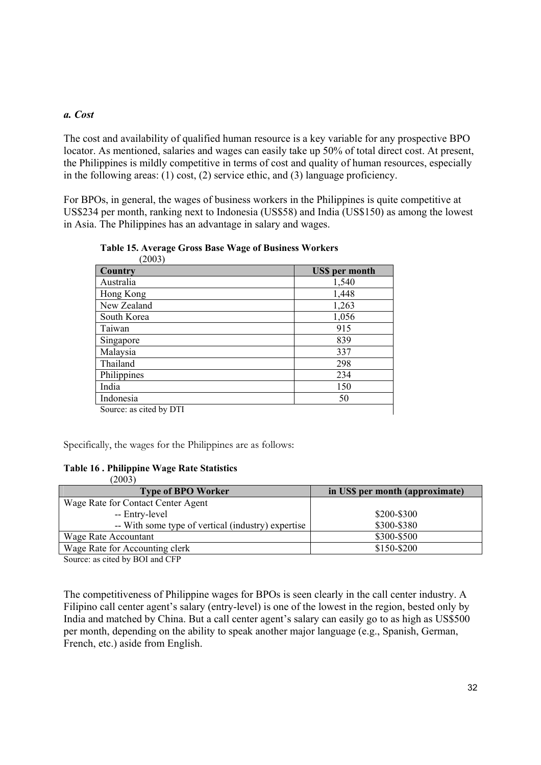# *a. Cost*

The cost and availability of qualified human resource is a key variable for any prospective BPO locator. As mentioned, salaries and wages can easily take up 50% of total direct cost. At present, the Philippines is mildly competitive in terms of cost and quality of human resources, especially in the following areas: (1) cost, (2) service ethic, and (3) language proficiency.

For BPOs, in general, the wages of business workers in the Philippines is quite competitive at US\$234 per month, ranking next to Indonesia (US\$58) and India (US\$150) as among the lowest in Asia. The Philippines has an advantage in salary and wages.

| 200J                    |                       |
|-------------------------|-----------------------|
| Country                 | <b>US\$</b> per month |
| Australia               | 1,540                 |
| Hong Kong               | 1,448                 |
| New Zealand             | 1,263                 |
| South Korea             | 1,056                 |
| Taiwan                  | 915                   |
| Singapore               | 839                   |
| Malaysia                | 337                   |
| Thailand                | 298                   |
| Philippines             | 234                   |
| India                   | 150                   |
| Indonesia               | 50                    |
| Source: as cited by DTI |                       |

**Table 15. Average Gross Base Wage of Business Workers** (2003)

Specifically, the wages for the Philippines are as follows:

### **Table 16 . Philippine Wage Rate Statistics**

| (2003)                                             |                                 |
|----------------------------------------------------|---------------------------------|
| <b>Type of BPO Worker</b>                          | in US\$ per month (approximate) |
| Wage Rate for Contact Center Agent                 |                                 |
| -- Entry-level                                     | \$200-\$300                     |
| -- With some type of vertical (industry) expertise | \$300-\$380                     |
| Wage Rate Accountant                               | \$300-\$500                     |
| Wage Rate for Accounting clerk                     | $$150 - $200$                   |
|                                                    |                                 |

Source: as cited by BOI and CFP

The competitiveness of Philippine wages for BPOs is seen clearly in the call center industry. A Filipino call center agent's salary (entry-level) is one of the lowest in the region, bested only by India and matched by China. But a call center agent's salary can easily go to as high as US\$500 per month, depending on the ability to speak another major language (e.g., Spanish, German, French, etc.) aside from English.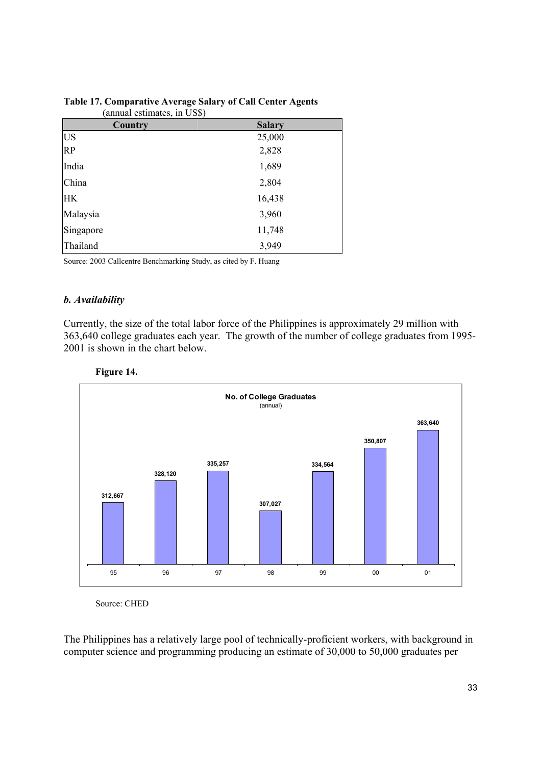| Country   | <b>Salary</b> |
|-----------|---------------|
| <b>US</b> | 25,000        |
| <b>RP</b> | 2,828         |
| India     | 1,689         |
| China     | 2,804         |
| <b>HK</b> | 16,438        |
| Malaysia  | 3,960         |
| Singapore | 11,748        |
| Thailand  | 3,949         |

### **Table 17. Comparative Average Salary of Call Center Agents** (annual estimates, in US\$)

Source: 2003 Callcentre Benchmarking Study, as cited by F. Huang

# *b. Availability*

Currently, the size of the total labor force of the Philippines is approximately 29 million with 363,640 college graduates each year. The growth of the number of college graduates from 1995- 2001 is shown in the chart below.





Source: CHED

The Philippines has a relatively large pool of technically-proficient workers, with background in computer science and programming producing an estimate of 30,000 to 50,000 graduates per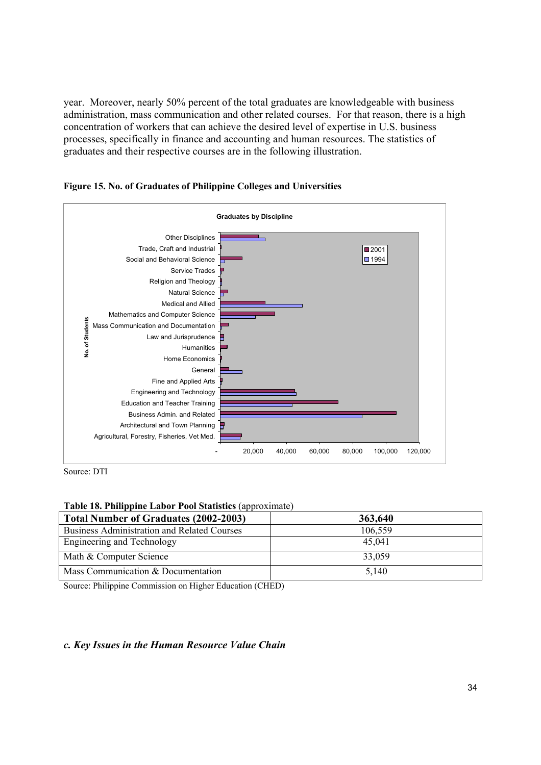year. Moreover, nearly 50% percent of the total graduates are knowledgeable with business administration, mass communication and other related courses. For that reason, there is a high concentration of workers that can achieve the desired level of expertise in U.S. business processes, specifically in finance and accounting and human resources. The statistics of graduates and their respective courses are in the following illustration.



**Figure 15. No. of Graduates of Philippine Colleges and Universities** 

Source: DTI

### **Table 18. Philippine Labor Pool Statistics** (approximate)

| Total Number of Graduates (2002-2003)              | 363,640 |
|----------------------------------------------------|---------|
| <b>Business Administration and Related Courses</b> | 106,559 |
| Engineering and Technology                         | 45,041  |
| Math & Computer Science                            | 33,059  |
| Mass Communication & Documentation                 | 5,140   |

Source: Philippine Commission on Higher Education (CHED)

### *c. Key Issues in the Human Resource Value Chain*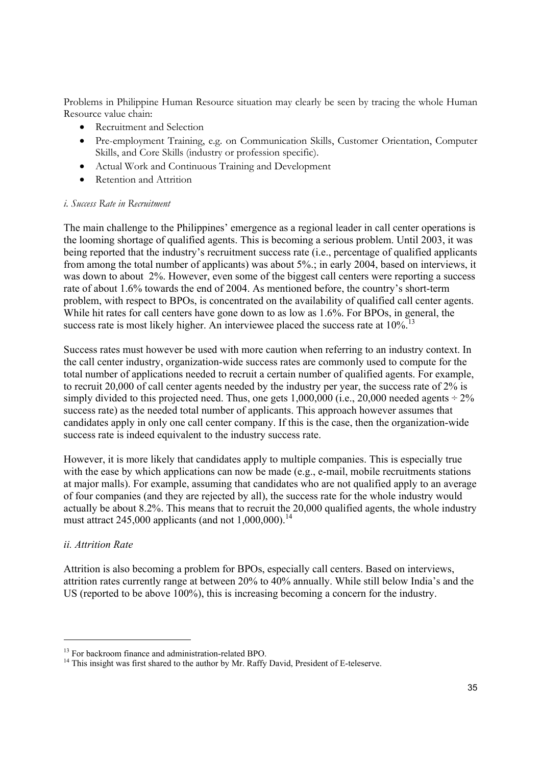Problems in Philippine Human Resource situation may clearly be seen by tracing the whole Human Resource value chain:

- Recruitment and Selection
- Pre-employment Training, e.g. on Communication Skills, Customer Orientation, Computer Skills, and Core Skills (industry or profession specific).
- Actual Work and Continuous Training and Development
- Retention and Attrition

### *i. Success Rate in Recruitment*

The main challenge to the Philippines' emergence as a regional leader in call center operations is the looming shortage of qualified agents. This is becoming a serious problem. Until 2003, it was being reported that the industry's recruitment success rate (i.e., percentage of qualified applicants from among the total number of applicants) was about 5%.; in early 2004, based on interviews, it was down to about 2%. However, even some of the biggest call centers were reporting a success rate of about 1.6% towards the end of 2004. As mentioned before, the country's short-term problem, with respect to BPOs, is concentrated on the availability of qualified call center agents. While hit rates for call centers have gone down to as low as 1.6%. For BPOs, in general, the success rate is most likely higher. An interviewee placed the success rate at  $10\%$ .

Success rates must however be used with more caution when referring to an industry context. In the call center industry, organization-wide success rates are commonly used to compute for the total number of applications needed to recruit a certain number of qualified agents. For example, to recruit 20,000 of call center agents needed by the industry per year, the success rate of 2% is simply divided to this projected need. Thus, one gets  $1,000,000$  (i.e.,  $20,000$  needed agents  $\div 2\%$ success rate) as the needed total number of applicants. This approach however assumes that candidates apply in only one call center company. If this is the case, then the organization-wide success rate is indeed equivalent to the industry success rate.

However, it is more likely that candidates apply to multiple companies. This is especially true with the ease by which applications can now be made (e.g., e-mail, mobile recruitments stations at major malls). For example, assuming that candidates who are not qualified apply to an average of four companies (and they are rejected by all), the success rate for the whole industry would actually be about 8.2%. This means that to recruit the 20,000 qualified agents, the whole industry must attract 245,000 applicants (and not  $1,000,000$ ).<sup>14</sup>

# *ii. Attrition Rate*

Attrition is also becoming a problem for BPOs, especially call centers. Based on interviews, attrition rates currently range at between 20% to 40% annually. While still below India's and the US (reported to be above 100%), this is increasing becoming a concern for the industry.

<sup>&</sup>lt;sup>13</sup> For backroom finance and administration-related BPO.

 $14$  This insight was first shared to the author by Mr. Raffy David, President of E-teleserve.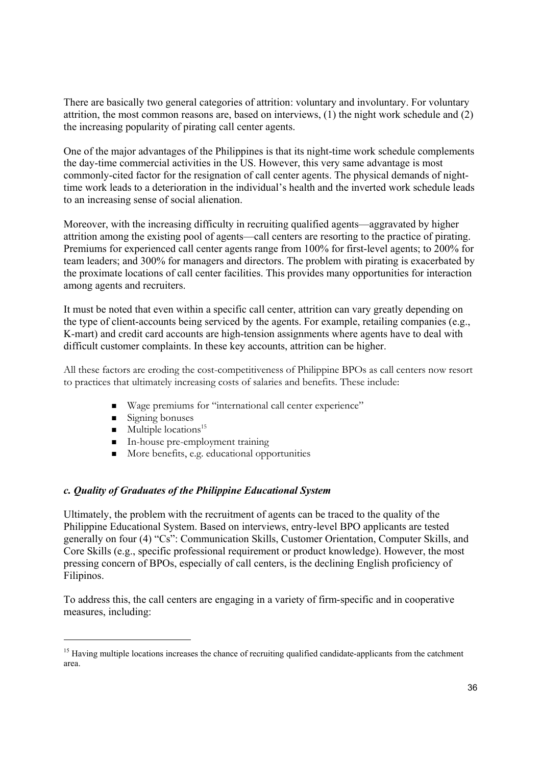There are basically two general categories of attrition: voluntary and involuntary. For voluntary attrition, the most common reasons are, based on interviews, (1) the night work schedule and (2) the increasing popularity of pirating call center agents.

One of the major advantages of the Philippines is that its night-time work schedule complements the day-time commercial activities in the US. However, this very same advantage is most commonly-cited factor for the resignation of call center agents. The physical demands of nighttime work leads to a deterioration in the individual's health and the inverted work schedule leads to an increasing sense of social alienation.

Moreover, with the increasing difficulty in recruiting qualified agents—aggravated by higher attrition among the existing pool of agents—call centers are resorting to the practice of pirating. Premiums for experienced call center agents range from 100% for first-level agents; to 200% for team leaders; and 300% for managers and directors. The problem with pirating is exacerbated by the proximate locations of call center facilities. This provides many opportunities for interaction among agents and recruiters.

It must be noted that even within a specific call center, attrition can vary greatly depending on the type of client-accounts being serviced by the agents. For example, retailing companies (e.g., K-mart) and credit card accounts are high-tension assignments where agents have to deal with difficult customer complaints. In these key accounts, attrition can be higher.

All these factors are eroding the cost-competitiveness of Philippine BPOs as call centers now resort to practices that ultimately increasing costs of salaries and benefits. These include:

- Wage premiums for "international call center experience"
- $\blacksquare$  Signing bonuses

- $\blacksquare$  Multiple locations<sup>15</sup>
- In-house pre-employment training
- $\blacksquare$  More benefits, e.g. educational opportunities

### *c. Quality of Graduates of the Philippine Educational System*

Ultimately, the problem with the recruitment of agents can be traced to the quality of the Philippine Educational System. Based on interviews, entry-level BPO applicants are tested generally on four (4) "Cs": Communication Skills, Customer Orientation, Computer Skills, and Core Skills (e.g., specific professional requirement or product knowledge). However, the most pressing concern of BPOs, especially of call centers, is the declining English proficiency of Filipinos.

To address this, the call centers are engaging in a variety of firm-specific and in cooperative measures, including:

<sup>&</sup>lt;sup>15</sup> Having multiple locations increases the chance of recruiting qualified candidate-applicants from the catchment area.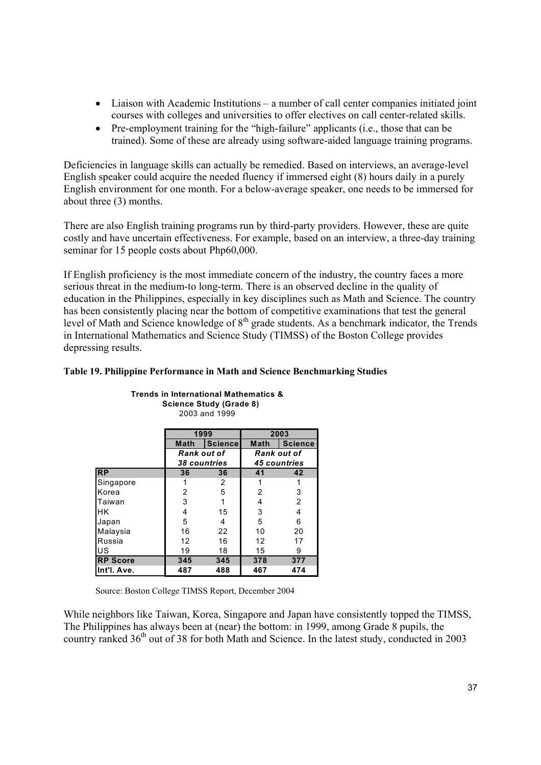- Liaison with Academic Institutions a number of call center companies initiated joint courses with colleges and universities to offer electives on call center-related skills.
- Pre-employment training for the "high-failure" applicants (i.e., those that can be trained). Some of these are already using software-aided language training programs.

Deficiencies in language skills can actually be remedied. Based on interviews, an average-level English speaker could acquire the needed fluency if immersed eight (8) hours daily in a purely English environment for one month. For a below-average speaker, one needs to be immersed for about three (3) months.

There are also English training programs run by third-party providers. However, these are quite costly and have uncertain effectiveness. For example, based on an interview, a three-day training seminar for 15 people costs about Php60,000.

If English proficiency is the most immediate concern of the industry, the country faces a more serious threat in the medium-to long-term. There is an observed decline in the quality of education in the Philippines, especially in key disciplines such as Math and Science. The country has been consistently placing near the bottom of competitive examinations that test the general level of Math and Science knowledge of 8<sup>th</sup> grade students. As a benchmark indicator, the Trends in International Mathematics and Science Study (TIMSS) of the Boston College provides depressing results.

|                 | 1999                |                | 2003 |                     |
|-----------------|---------------------|----------------|------|---------------------|
|                 | Math                | <b>Science</b> | Math | <b>Science</b>      |
|                 | Rank out of         |                |      | Rank out of         |
|                 | <b>38 countries</b> |                |      | <b>45 countries</b> |
| <b>RP</b>       | 36<br>41<br>36      |                |      | 42                  |
| Singapore       |                     | 2              |      |                     |
| Korea           | $\overline{2}$      | 5              | 2    | 3                   |
| Taiwan          | 3                   |                | 4    | $\overline{2}$      |
| <b>HK</b>       | 4                   | 15             | 3    | 4                   |
| Japan           | 5                   | 4              | 5    | 6                   |
| Malaysia        | 16                  | 22             | 10   | 20                  |
| Russia          | 12                  | 16             | 12   | 17                  |
| US              | 19                  | 18             | 15   | 9                   |
| <b>RP Score</b> | 345                 | 345            | 378  | 377                 |
| Int'l. Ave.     | 487                 | 488            | 467  | 474                 |

**Trends in International Mathematics & Science Study (Grade 8)** 2003 and 1999

### **Table 19. Philippine Performance in Math and Science Benchmarking Studies**

Source: Boston College TIMSS Report, December 2004

While neighbors like Taiwan, Korea, Singapore and Japan have consistently topped the TIMSS, The Philippines has always been at (near) the bottom: in 1999, among Grade 8 pupils, the country ranked 36<sup>th</sup> out of 38 for both Math and Science. In the latest study, conducted in 2003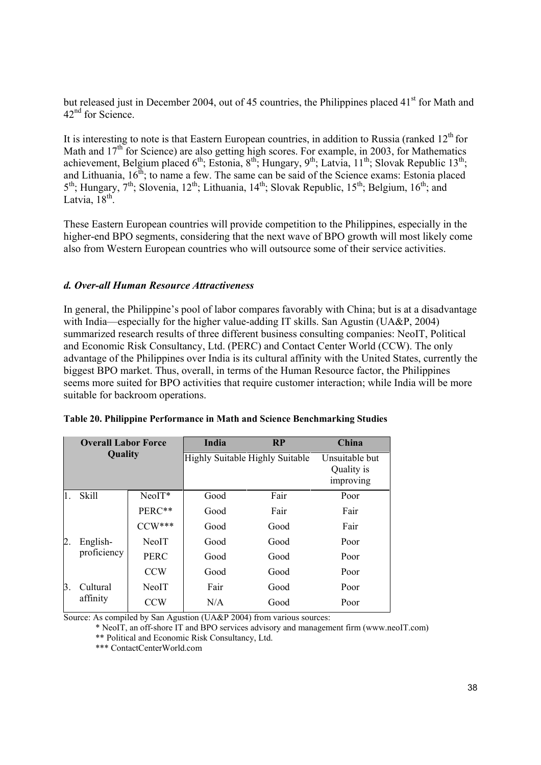but released just in December 2004, out of 45 countries, the Philippines placed 41<sup>st</sup> for Math and  $42<sup>nd</sup>$  for Science.

It is interesting to note is that Eastern European countries, in addition to Russia (ranked  $12<sup>th</sup>$  for Math and  $17<sup>th</sup>$  for Science) are also getting high scores. For example, in 2003, for Mathematics achievement, Belgium placed 6<sup>th</sup>; Estonia, 8<sup>th</sup>; Hungary, 9<sup>th</sup>; Latvia, 11<sup>th</sup>; Slovak Republic 13<sup>th</sup>; and Lithuania,  $16<sup>th</sup>$ ; to name a few. The same can be said of the Science exams: Estonia placed  $5<sup>th</sup>$ ; Hungary,  $7<sup>th</sup>$ ; Slovenia,  $12<sup>th</sup>$ ; Lithuania,  $14<sup>th</sup>$ ; Slovak Republic,  $15<sup>th</sup>$ ; Belgium,  $16<sup>th</sup>$ ; and Latvia,  $18^{th}$ 

These Eastern European countries will provide competition to the Philippines, especially in the higher-end BPO segments, considering that the next wave of BPO growth will most likely come also from Western European countries who will outsource some of their service activities.

# *d. Over-all Human Resource Attractiveness*

In general, the Philippine's pool of labor compares favorably with China; but is at a disadvantage with India—especially for the higher value-adding IT skills. San Agustin (UA&P, 2004) summarized research results of three different business consulting companies: NeoIT, Political and Economic Risk Consultancy, Ltd. (PERC) and Contact Center World (CCW). The only advantage of the Philippines over India is its cultural affinity with the United States, currently the biggest BPO market. Thus, overall, in terms of the Human Resource factor, the Philippines seems more suited for BPO activities that require customer interaction; while India will be more suitable for backroom operations.

|          | <b>Overall Labor Force</b><br>Quality |              | India | <b>RP</b>                       | China                                     |
|----------|---------------------------------------|--------------|-------|---------------------------------|-------------------------------------------|
|          |                                       |              |       | Highly Suitable Highly Suitable | Unsuitable but<br>Quality is<br>improving |
| 1.       | <b>Skill</b>                          | $NeoIT*$     | Good  | Fair                            | Poor                                      |
|          |                                       | PERC**       | Good  | Fair                            | Fair                                      |
|          |                                       | $CCW***$     | Good  | Good                            | Fair                                      |
| 2.       | English-<br>proficiency               | NeoIT        | Good  | Good                            | Poor                                      |
|          |                                       | <b>PERC</b>  | Good  | Good                            | Poor                                      |
|          |                                       | <b>CCW</b>   | Good  | Good                            | Poor                                      |
| Β.       | Cultural                              | <b>NeoIT</b> | Fair  | Good                            | Poor                                      |
| affinity | CCW                                   | N/A          | Good  | Poor                            |                                           |

**Table 20. Philippine Performance in Math and Science Benchmarking Studies**

Source: As compiled by San Agustion (UA&P 2004) from various sources:

\* NeoIT, an off-shore IT and BPO services advisory and management firm (www.neoIT.com) \*\* Political and Economic Risk Consultancy, Ltd.

\*\*\* ContactCenterWorld.com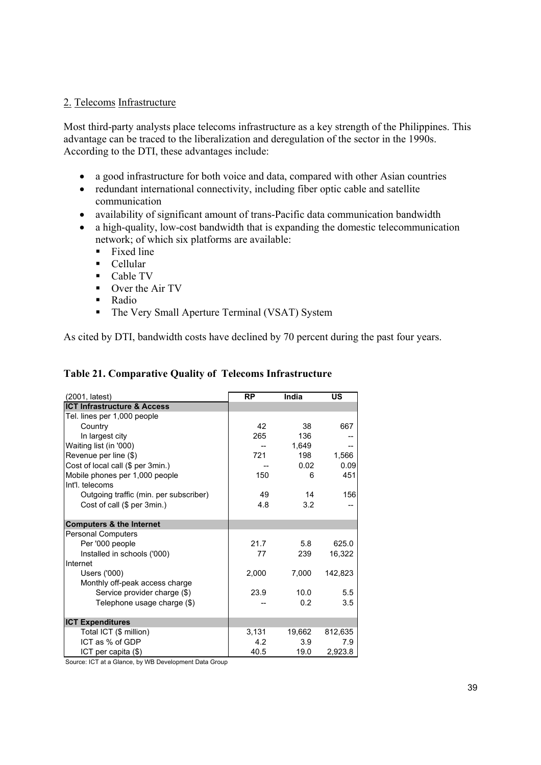# 2. Telecoms Infrastructure

Most third-party analysts place telecoms infrastructure as a key strength of the Philippines. This advantage can be traced to the liberalization and deregulation of the sector in the 1990s. According to the DTI, these advantages include:

- a good infrastructure for both voice and data, compared with other Asian countries
- redundant international connectivity, including fiber optic cable and satellite communication
- availability of significant amount of trans-Pacific data communication bandwidth
- a high-quality, low-cost bandwidth that is expanding the domestic telecommunication network; of which six platforms are available:
	- $\blacksquare$  Fixed line
	- Cellular
	- $\blacksquare$  Cable TV
	- Over the Air TV
	- Radio
	- The Very Small Aperture Terminal (VSAT) System

As cited by DTI, bandwidth costs have declined by 70 percent during the past four years.

| (2001, latest)                         | <b>RP</b> | India  | US      |
|----------------------------------------|-----------|--------|---------|
| <b>ICT Infrastructure &amp; Access</b> |           |        |         |
| Tel. lines per 1,000 people            |           |        |         |
| Country                                | 42        | 38     | 667     |
| In largest city                        | 265       | 136    |         |
| Waiting list (in '000)                 |           | 1,649  |         |
| Revenue per line (\$)                  | 721       | 198    | 1,566   |
| Cost of local call (\$ per 3min.)      |           | 0.02   | 0.09    |
| Mobile phones per 1,000 people         | 150       | 6      | 451     |
| Int'l. telecoms                        |           |        |         |
| Outgoing traffic (min. per subscriber) | 49        | 14     | 156     |
| Cost of call (\$ per 3min.)            | 4.8       | 3.2    |         |
| <b>Computers &amp; the Internet</b>    |           |        |         |
| <b>Personal Computers</b>              |           |        |         |
| Per '000 people                        | 21.7      | 5.8    | 625.0   |
| Installed in schools ('000)            | 77        | 239    | 16,322  |
| Internet                               |           |        |         |
| Users ('000)                           | 2,000     | 7,000  | 142,823 |
| Monthly off-peak access charge         |           |        |         |
| Service provider charge (\$)           | 23.9      | 10.0   | 5.5     |
| Telephone usage charge (\$)            |           | 0.2    | 3.5     |
| <b>ICT Expenditures</b>                |           |        |         |
| Total ICT (\$ million)                 | 3,131     | 19,662 | 812,635 |
| ICT as % of GDP                        | 4.2       | 3.9    | 7.9     |
| ICT per capita (\$)                    | 40.5      | 19.0   | 2,923.8 |

# **Table 21. Comparative Quality of Telecoms Infrastructure**

Source: ICT at a Glance, by WB Development Data Group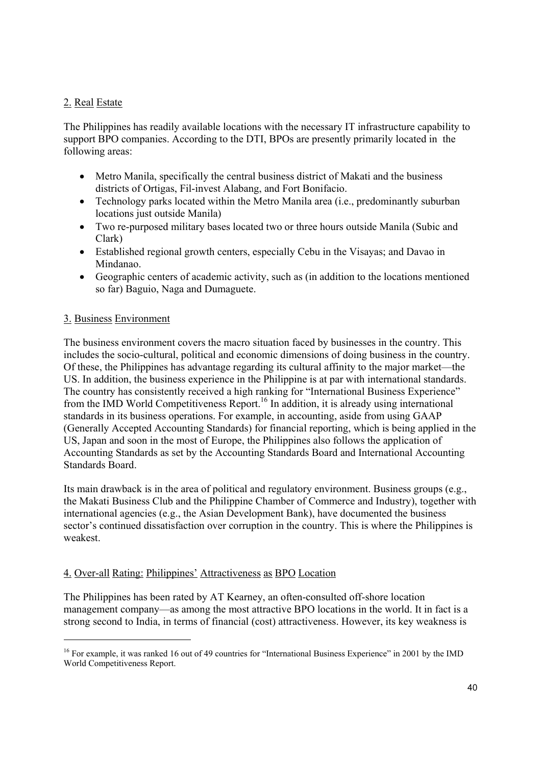# 2. Real Estate

The Philippines has readily available locations with the necessary IT infrastructure capability to support BPO companies. According to the DTI, BPOs are presently primarily located in the following areas:

- Metro Manila, specifically the central business district of Makati and the business districts of Ortigas, Fil-invest Alabang, and Fort Bonifacio.
- Technology parks located within the Metro Manila area *(i.e., predominantly suburban* locations just outside Manila)
- Two re-purposed military bases located two or three hours outside Manila (Subic and Clark)
- Established regional growth centers, especially Cebu in the Visayas; and Davao in Mindanao.
- Geographic centers of academic activity, such as (in addition to the locations mentioned so far) Baguio, Naga and Dumaguete.

# 3. Business Environment

The business environment covers the macro situation faced by businesses in the country. This includes the socio-cultural, political and economic dimensions of doing business in the country. Of these, the Philippines has advantage regarding its cultural affinity to the major market—the US. In addition, the business experience in the Philippine is at par with international standards. The country has consistently received a high ranking for "International Business Experience" from the IMD World Competitiveness Report.<sup>16</sup> In addition, it is already using international standards in its business operations. For example, in accounting, aside from using GAAP (Generally Accepted Accounting Standards) for financial reporting, which is being applied in the US, Japan and soon in the most of Europe, the Philippines also follows the application of Accounting Standards as set by the Accounting Standards Board and International Accounting Standards Board.

Its main drawback is in the area of political and regulatory environment. Business groups (e.g., the Makati Business Club and the Philippine Chamber of Commerce and Industry), together with international agencies (e.g., the Asian Development Bank), have documented the business sector's continued dissatisfaction over corruption in the country. This is where the Philippines is weakest.

# 4. Over-all Rating: Philippines' Attractiveness as BPO Location

The Philippines has been rated by AT Kearney, an often-consulted off-shore location management company—as among the most attractive BPO locations in the world. It in fact is a strong second to India, in terms of financial (cost) attractiveness. However, its key weakness is

 <sup>16</sup> For example, it was ranked 16 out of 49 countries for "International Business Experience" in 2001 by the IMD World Competitiveness Report.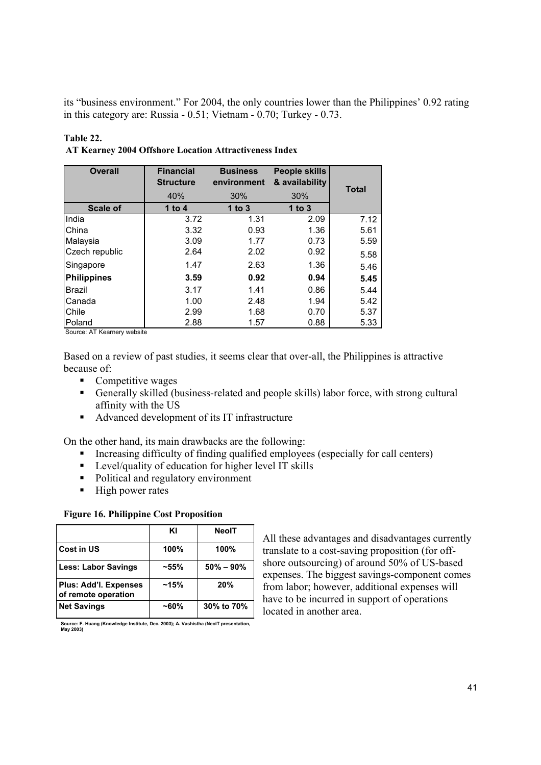its "business environment." For 2004, the only countries lower than the Philippines' 0.92 rating in this category are: Russia - 0.51; Vietnam - 0.70; Turkey - 0.73.

### **Table 22.**

| AT Kearney 2004 Offshore Location Attractiveness Index |  |
|--------------------------------------------------------|--|
|--------------------------------------------------------|--|

| <b>Overall</b>     | <b>Financial</b><br><b>Structure</b> | <b>Business</b><br>environment | People skills<br>& availability |              |
|--------------------|--------------------------------------|--------------------------------|---------------------------------|--------------|
|                    | 40%                                  | 30%                            | 30%                             | <b>Total</b> |
| <b>Scale of</b>    | 1 to 4                               | 1 to $3$                       | 1 to $3$                        |              |
| India              | 3.72                                 | 1.31                           | 2.09                            | 7.12         |
| China              | 3.32                                 | 0.93                           | 1.36                            | 5.61         |
| Malaysia           | 3.09                                 | 1.77                           | 0.73                            | 5.59         |
| Czech republic     | 2.64                                 | 2.02                           | 0.92                            | 5.58         |
| Singapore          | 1.47                                 | 2.63                           | 1.36                            | 5.46         |
| <b>Philippines</b> | 3.59                                 | 0.92                           | 0.94                            | 5.45         |
| <b>Brazil</b>      | 3.17                                 | 1.41                           | 0.86                            | 5.44         |
| Canada             | 1.00                                 | 2.48                           | 1.94                            | 5.42         |
| Chile              | 2.99                                 | 1.68                           | 0.70                            | 5.37         |
| Poland             | 2.88                                 | 1.57                           | 0.88                            | 5.33         |

Source: AT Kearnery website

Based on a review of past studies, it seems clear that over-all, the Philippines is attractive because of:

- Competitive wages
- Generally skilled (business-related and people skills) labor force, with strong cultural affinity with the US
- Advanced development of its IT infrastructure

On the other hand, its main drawbacks are the following:

- Increasing difficulty of finding qualified employees (especially for call centers)
- **EXECU** Level/quality of education for higher level IT skills
- Political and regulatory environment
- $\blacksquare$  High power rates

# **Figure 16. Philippine Cost Proposition**

|                                              | ΚI       | NeolT         |
|----------------------------------------------|----------|---------------|
| Cost in US                                   | 100%     | 100%          |
| <b>Less: Labor Savings</b>                   | $-55%$   | $50\% - 90\%$ |
| Plus: Add'l. Expenses<br>of remote operation | ~15%     | 20%           |
| <b>Net Savings</b>                           | $~160\%$ | 30% to 70%    |

**Source: F. Huang (Knowledge Institute, Dec. 2003); A. Vashistha (NeoIT presentation, May 2003)**

All these advantages and disadvantages currently translate to a cost-saving proposition (for offshore outsourcing) of around 50% of US-based expenses. The biggest savings-component comes from labor; however, additional expenses will have to be incurred in support of operations  $localed in another area.$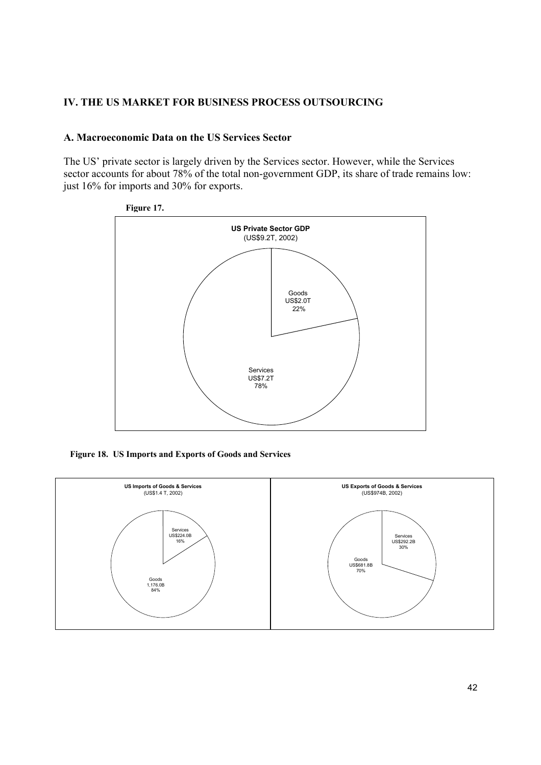# **IV. THE US MARKET FOR BUSINESS PROCESS OUTSOURCING**

### **A. Macroeconomic Data on the US Services Sector**

The US' private sector is largely driven by the Services sector. However, while the Services sector accounts for about 78% of the total non-government GDP, its share of trade remains low: just 16% for imports and 30% for exports.



**Figure 18. US Imports and Exports of Goods and Services**

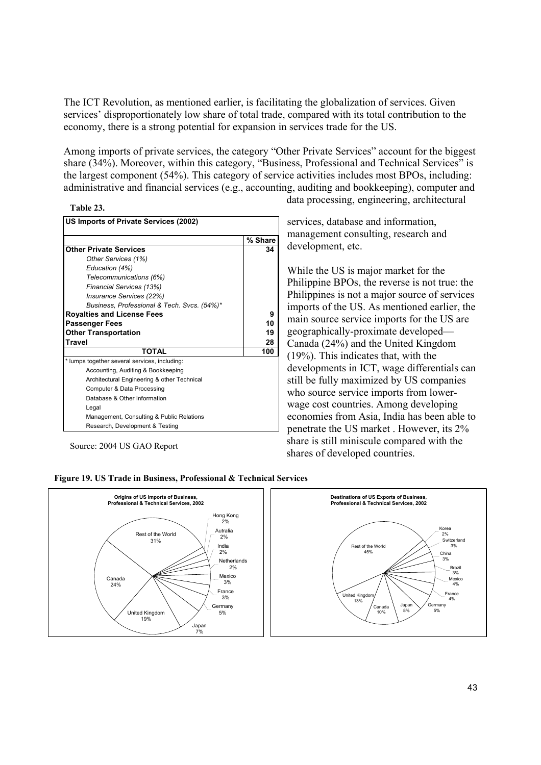The ICT Revolution, as mentioned earlier, is facilitating the globalization of services. Given services' disproportionately low share of total trade, compared with its total contribution to the economy, there is a strong potential for expansion in services trade for the US.

Among imports of private services, the category "Other Private Services" account for the biggest share (34%). Moreover, within this category, "Business, Professional and Technical Services" is the largest component (54%). This category of service activities includes most BPOs, including: administrative and financial services (e.g., accounting, auditing and bookkeeping), computer and



| US Imports of Private Services (2002)         |         |
|-----------------------------------------------|---------|
|                                               | % Share |
| <b>Other Private Services</b>                 | 34      |
| Other Services (1%)                           |         |
| Education (4%)                                |         |
| Telecommunications (6%)                       |         |
| Financial Services (13%)                      |         |
| Insurance Services (22%)                      |         |
| Business, Professional & Tech. Svcs. (54%)*   |         |
| <b>Royalties and License Fees</b>             | 9       |
| <b>Passenger Fees</b>                         | 10      |
| <b>Other Transportation</b>                   | 19      |
| <b>Travel</b>                                 | 28      |
| <b>TOTAL</b>                                  | 100     |
| * lumps together several services, including: |         |
| Accounting, Auditing & Bookkeeping            |         |
| Architectural Engineering & other Technical   |         |
| Computer & Data Processing                    |         |
| Database & Other Information                  |         |
| Legal                                         |         |
| Management, Consulting & Public Relations     |         |
| Research, Development & Testing               |         |

Source: 2004 US GAO Report

data processing, engineering, architectural

services, database and information, management consulting, research and development, etc.

While the US is major market for the Philippine BPOs, the reverse is not true: the Philippines is not a major source of services imports of the US. As mentioned earlier, the main source service imports for the US are geographically-proximate developed— Canada (24%) and the United Kingdom (19%). This indicates that, with the developments in ICT, wage differentials can still be fully maximized by US companies who source service imports from lowerwage cost countries. Among developing economies from Asia, India has been able to penetrate the US market . However, its 2% share is still miniscule compared with the shares of developed countries.



#### **Figure 19. US Trade in Business, Professional & Technical Services**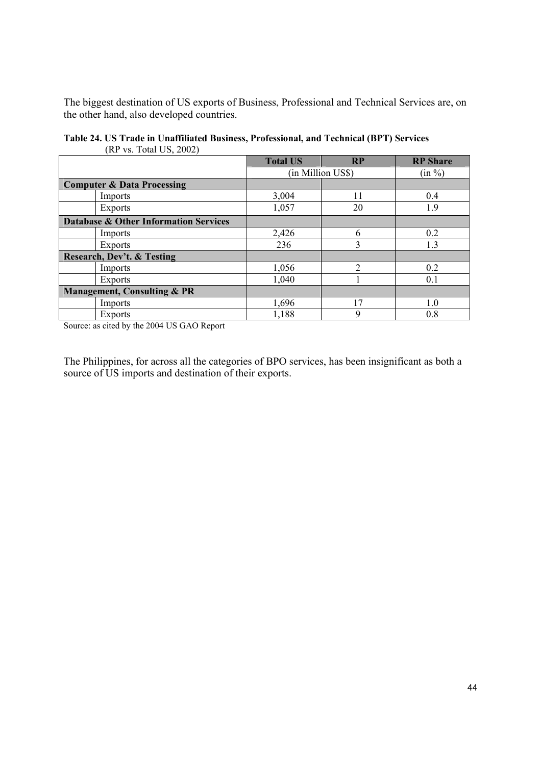The biggest destination of US exports of Business, Professional and Technical Services are, on the other hand, also developed countries.

|                                                  | <b>Total US</b> | <b>RP</b>         | <b>RP</b> Share |
|--------------------------------------------------|-----------------|-------------------|-----------------|
|                                                  |                 | (in Million US\$) | (in %)          |
| <b>Computer &amp; Data Processing</b>            |                 |                   |                 |
| Imports                                          | 3,004           | 11                | 0.4             |
| <b>Exports</b>                                   | 1,057           | 20                | 1.9             |
| <b>Database &amp; Other Information Services</b> |                 |                   |                 |
| Imports                                          | 2,426           | 6                 | 0.2             |
| <b>Exports</b>                                   | 236             | 3                 | 1.3             |
| <b>Research, Dev't. &amp; Testing</b>            |                 |                   |                 |
| Imports                                          | 1,056           | っ                 | 0.2             |
| <b>Exports</b>                                   | 1,040           |                   | 0.1             |
| <b>Management, Consulting &amp; PR</b>           |                 |                   |                 |
| Imports                                          | 1,696           | 17                | 1.0             |
| <b>Exports</b>                                   | 1,188           | 9                 | 0.8             |

**Table 24. US Trade in Unaffiliated Business, Professional, and Technical (BPT) Services**  (RP vs. Total US, 2002)

Source: as cited by the 2004 US GAO Report

The Philippines, for across all the categories of BPO services, has been insignificant as both a source of US imports and destination of their exports.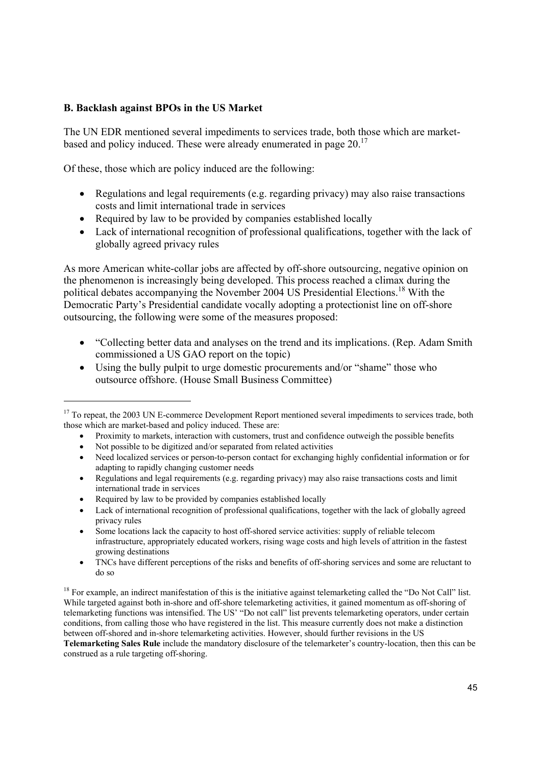# **B. Backlash against BPOs in the US Market**

The UN EDR mentioned several impediments to services trade, both those which are marketbased and policy induced. These were already enumerated in page 20.<sup>17</sup>

Of these, those which are policy induced are the following:

- Regulations and legal requirements (e.g. regarding privacy) may also raise transactions costs and limit international trade in services
- Required by law to be provided by companies established locally
- Lack of international recognition of professional qualifications, together with the lack of globally agreed privacy rules

As more American white-collar jobs are affected by off-shore outsourcing, negative opinion on the phenomenon is increasingly being developed. This process reached a climax during the political debates accompanying the November 2004 US Presidential Elections.<sup>18</sup> With the Democratic Party's Presidential candidate vocally adopting a protectionist line on off-shore outsourcing, the following were some of the measures proposed:

- "Collecting better data and analyses on the trend and its implications. (Rep. Adam Smith commissioned a US GAO report on the topic)
- Using the bully pulpit to urge domestic procurements and/or "shame" those who outsource offshore. (House Small Business Committee)

- Proximity to markets, interaction with customers, trust and confidence outweigh the possible benefits
- Not possible to be digitized and/or separated from related activities
- Need localized services or person-to-person contact for exchanging highly confidential information or for adapting to rapidly changing customer needs
- Regulations and legal requirements (e.g. regarding privacy) may also raise transactions costs and limit international trade in services
- Required by law to be provided by companies established locally
- Lack of international recognition of professional qualifications, together with the lack of globally agreed privacy rules
- Some locations lack the capacity to host off-shored service activities: supply of reliable telecom infrastructure, appropriately educated workers, rising wage costs and high levels of attrition in the fastest growing destinations
- TNCs have different perceptions of the risks and benefits of off-shoring services and some are reluctant to do so

 $18$  For example, an indirect manifestation of this is the initiative against telemarketing called the "Do Not Call" list. While targeted against both in-shore and off-shore telemarketing activities, it gained momentum as off-shoring of telemarketing functions was intensified. The US' "Do not call" list prevents telemarketing operators, under certain conditions, from calling those who have registered in the list. This measure currently does not make a distinction between off-shored and in-shore telemarketing activities. However, should further revisions in the US

**Telemarketing Sales Rule** include the mandatory disclosure of the telemarketer's country-location, then this can be construed as a rule targeting off-shoring.

 <sup>17</sup> To repeat, the 2003 UN E-commerce Development Report mentioned several impediments to services trade, both those which are market-based and policy induced. These are: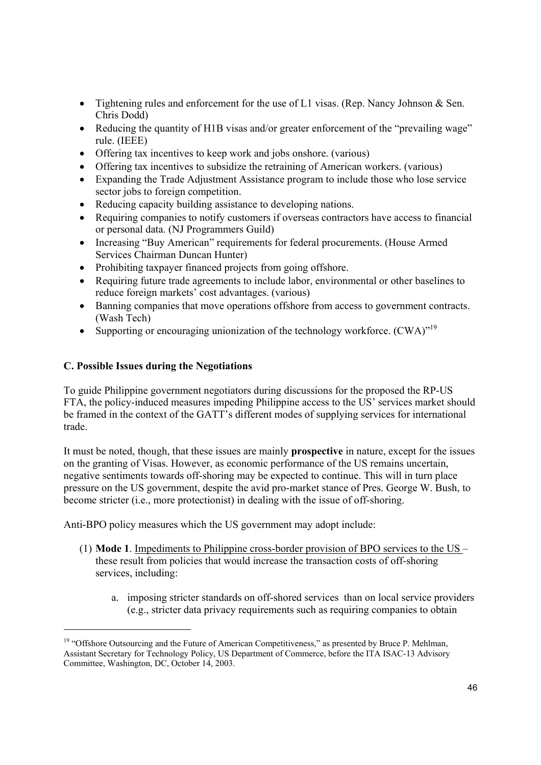- Tightening rules and enforcement for the use of L1 visas. (Rep. Nancy Johnson & Sen. Chris Dodd)
- Reducing the quantity of H1B visas and/or greater enforcement of the "prevailing wage" rule. (IEEE)
- Offering tax incentives to keep work and jobs onshore. (various)
- Offering tax incentives to subsidize the retraining of American workers. (various)
- Expanding the Trade Adjustment Assistance program to include those who lose service sector jobs to foreign competition.
- Reducing capacity building assistance to developing nations.
- Requiring companies to notify customers if overseas contractors have access to financial or personal data. (NJ Programmers Guild)
- Increasing "Buy American" requirements for federal procurements. (House Armed Services Chairman Duncan Hunter)
- Prohibiting taxpayer financed projects from going offshore.
- Requiring future trade agreements to include labor, environmental or other baselines to reduce foreign markets' cost advantages. (various)
- Banning companies that move operations offshore from access to government contracts. (Wash Tech)
- Supporting or encouraging unionization of the technology workforce. (CWA)<sup>"19</sup>

# **C. Possible Issues during the Negotiations**

To guide Philippine government negotiators during discussions for the proposed the RP-US FTA, the policy-induced measures impeding Philippine access to the US' services market should be framed in the context of the GATT's different modes of supplying services for international trade.

It must be noted, though, that these issues are mainly **prospective** in nature, except for the issues on the granting of Visas. However, as economic performance of the US remains uncertain, negative sentiments towards off-shoring may be expected to continue. This will in turn place pressure on the US government, despite the avid pro-market stance of Pres. George W. Bush, to become stricter (i.e., more protectionist) in dealing with the issue of off-shoring.

Anti-BPO policy measures which the US government may adopt include:

- (1) **Mode 1**. Impediments to Philippine cross-border provision of BPO services to the US these result from policies that would increase the transaction costs of off-shoring services, including:
	- a. imposing stricter standards on off-shored services than on local service providers (e.g., stricter data privacy requirements such as requiring companies to obtain

<sup>&</sup>lt;sup>19</sup> "Offshore Outsourcing and the Future of American Competitiveness," as presented by Bruce P. Mehlman, Assistant Secretary for Technology Policy, US Department of Commerce, before the ITA ISAC-13 Advisory Committee, Washington, DC, October 14, 2003.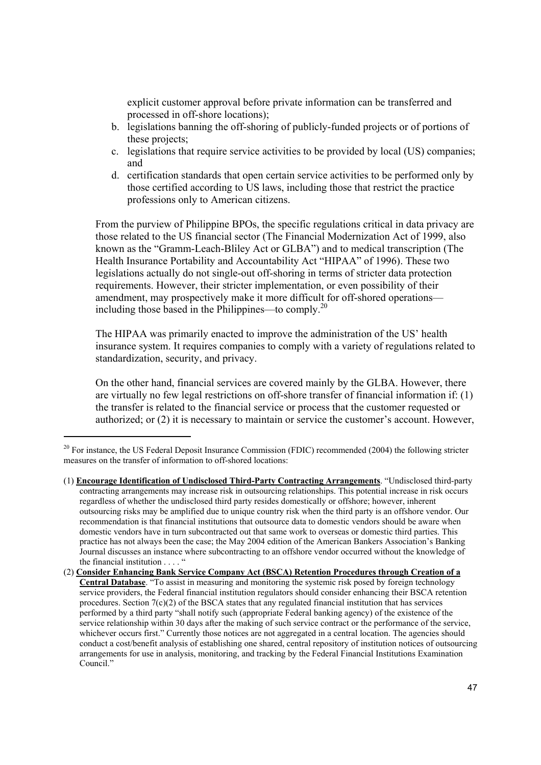explicit customer approval before private information can be transferred and processed in off-shore locations);

- b. legislations banning the off-shoring of publicly-funded projects or of portions of these projects;
- c. legislations that require service activities to be provided by local (US) companies; and
- d. certification standards that open certain service activities to be performed only by those certified according to US laws, including those that restrict the practice professions only to American citizens.

From the purview of Philippine BPOs, the specific regulations critical in data privacy are those related to the US financial sector (The Financial Modernization Act of 1999, also known as the "Gramm-Leach-Bliley Act or GLBA") and to medical transcription (The Health Insurance Portability and Accountability Act "HIPAA" of 1996). These two legislations actually do not single-out off-shoring in terms of stricter data protection requirements. However, their stricter implementation, or even possibility of their amendment, may prospectively make it more difficult for off-shored operations including those based in the Philippines—to comply.20

The HIPAA was primarily enacted to improve the administration of the US' health insurance system. It requires companies to comply with a variety of regulations related to standardization, security, and privacy.

On the other hand, financial services are covered mainly by the GLBA. However, there are virtually no few legal restrictions on off-shore transfer of financial information if: (1) the transfer is related to the financial service or process that the customer requested or authorized; or (2) it is necessary to maintain or service the customer's account. However,

<sup>&</sup>lt;sup>20</sup> For instance, the US Federal Deposit Insurance Commission (FDIC) recommended (2004) the following stricter measures on the transfer of information to off-shored locations:

<sup>(1)</sup> **Encourage Identification of Undisclosed Third-Party Contracting Arrangements**. "Undisclosed third-party contracting arrangements may increase risk in outsourcing relationships. This potential increase in risk occurs regardless of whether the undisclosed third party resides domestically or offshore; however, inherent outsourcing risks may be amplified due to unique country risk when the third party is an offshore vendor. Our recommendation is that financial institutions that outsource data to domestic vendors should be aware when domestic vendors have in turn subcontracted out that same work to overseas or domestic third parties. This practice has not always been the case; the May 2004 edition of the American Bankers Association's Banking Journal discusses an instance where subcontracting to an offshore vendor occurred without the knowledge of the financial institution . . . . "

<sup>(2)</sup> **Consider Enhancing Bank Service Company Act (BSCA) Retention Procedures through Creation of a Central Database**. "To assist in measuring and monitoring the systemic risk posed by foreign technology service providers, the Federal financial institution regulators should consider enhancing their BSCA retention procedures. Section  $7(c)(2)$  of the BSCA states that any regulated financial institution that has services performed by a third party "shall notify such (appropriate Federal banking agency) of the existence of the service relationship within 30 days after the making of such service contract or the performance of the service, whichever occurs first." Currently those notices are not aggregated in a central location. The agencies should conduct a cost/benefit analysis of establishing one shared, central repository of institution notices of outsourcing arrangements for use in analysis, monitoring, and tracking by the Federal Financial Institutions Examination Council<sup>"</sup>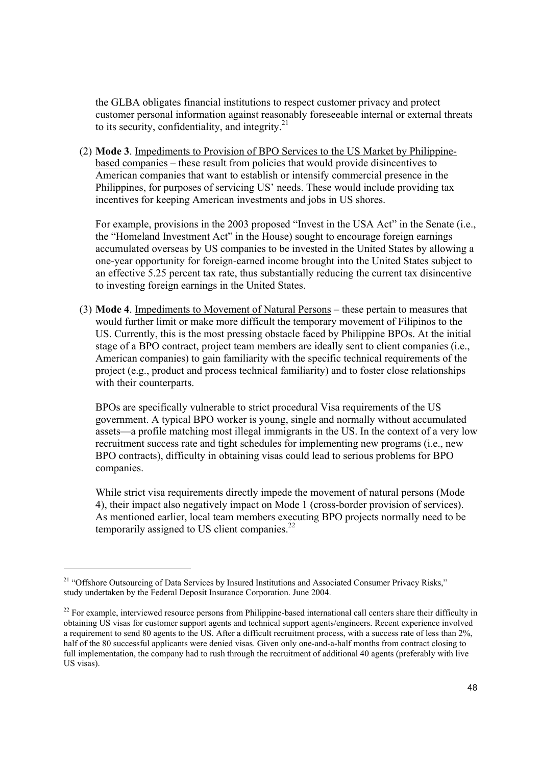the GLBA obligates financial institutions to respect customer privacy and protect customer personal information against reasonably foreseeable internal or external threats to its security, confidentiality, and integrity. $21$ 

(2) **Mode 3**. Impediments to Provision of BPO Services to the US Market by Philippinebased companies – these result from policies that would provide disincentives to American companies that want to establish or intensify commercial presence in the Philippines, for purposes of servicing US' needs. These would include providing tax incentives for keeping American investments and jobs in US shores.

For example, provisions in the 2003 proposed "Invest in the USA Act" in the Senate (i.e., the "Homeland Investment Act" in the House) sought to encourage foreign earnings accumulated overseas by US companies to be invested in the United States by allowing a one-year opportunity for foreign-earned income brought into the United States subject to an effective 5.25 percent tax rate, thus substantially reducing the current tax disincentive to investing foreign earnings in the United States.

(3) **Mode 4**. Impediments to Movement of Natural Persons – these pertain to measures that would further limit or make more difficult the temporary movement of Filipinos to the US. Currently, this is the most pressing obstacle faced by Philippine BPOs. At the initial stage of a BPO contract, project team members are ideally sent to client companies (i.e., American companies) to gain familiarity with the specific technical requirements of the project (e.g., product and process technical familiarity) and to foster close relationships with their counterparts.

BPOs are specifically vulnerable to strict procedural Visa requirements of the US government. A typical BPO worker is young, single and normally without accumulated assets—a profile matching most illegal immigrants in the US. In the context of a very low recruitment success rate and tight schedules for implementing new programs (i.e., new BPO contracts), difficulty in obtaining visas could lead to serious problems for BPO companies.

While strict visa requirements directly impede the movement of natural persons (Mode 4), their impact also negatively impact on Mode 1 (cross-border provision of services). As mentioned earlier, local team members executing BPO projects normally need to be temporarily assigned to US client companies. $^{22}$ 

<sup>&</sup>lt;sup>21</sup> "Offshore Outsourcing of Data Services by Insured Institutions and Associated Consumer Privacy Risks," study undertaken by the Federal Deposit Insurance Corporation. June 2004.

 $22$  For example, interviewed resource persons from Philippine-based international call centers share their difficulty in obtaining US visas for customer support agents and technical support agents/engineers. Recent experience involved a requirement to send 80 agents to the US. After a difficult recruitment process, with a success rate of less than 2%, half of the 80 successful applicants were denied visas. Given only one-and-a-half months from contract closing to full implementation, the company had to rush through the recruitment of additional 40 agents (preferably with live US visas).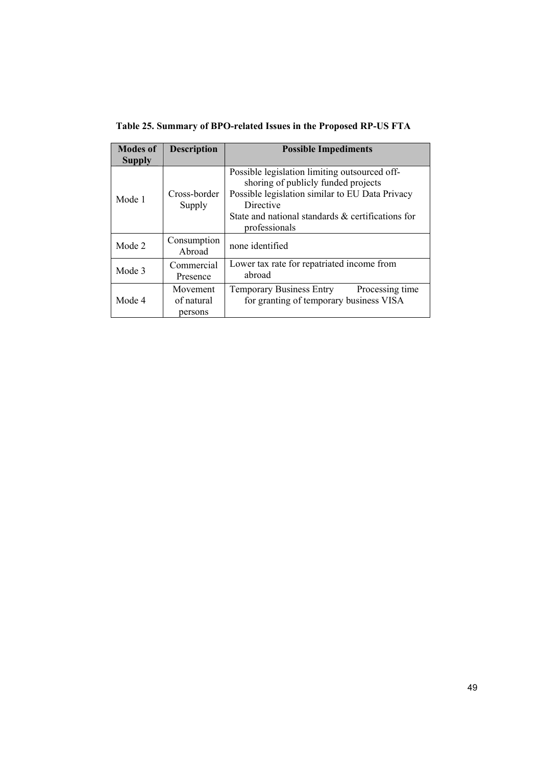**Table 25. Summary of BPO-related Issues in the Proposed RP-US FTA** 

| <b>Modes of</b> | <b>Description</b>                | <b>Possible Impediments</b>                                                                                                                                                                                                |
|-----------------|-----------------------------------|----------------------------------------------------------------------------------------------------------------------------------------------------------------------------------------------------------------------------|
| <b>Supply</b>   |                                   |                                                                                                                                                                                                                            |
| Mode 1          | Cross-border<br>Supply            | Possible legislation limiting outsourced off-<br>shoring of publicly funded projects<br>Possible legislation similar to EU Data Privacy<br>Directive<br>State and national standards & certifications for<br>professionals |
| Mode 2          | Consumption<br>Abroad             | none identified                                                                                                                                                                                                            |
| Mode 3          | Commercial<br>Presence            | Lower tax rate for repatriated income from<br>abroad                                                                                                                                                                       |
| Mode 4          | Movement<br>of natural<br>persons | <b>Temporary Business Entry</b><br>Processing time<br>for granting of temporary business VISA                                                                                                                              |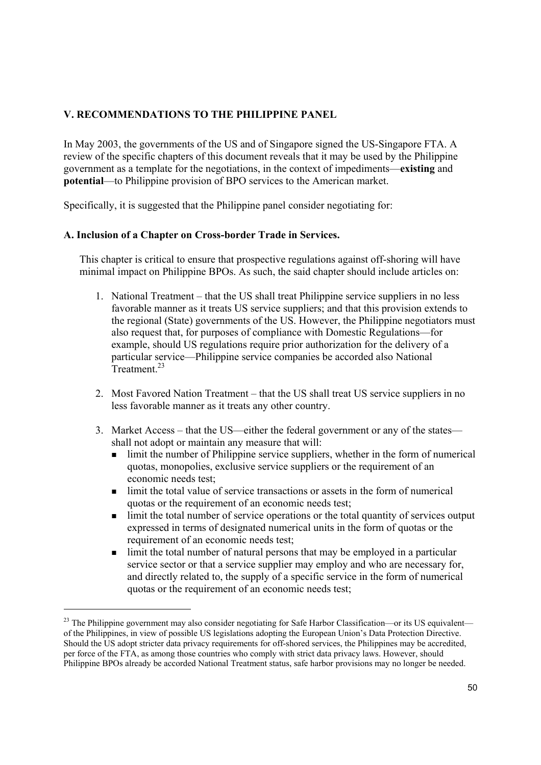# **V. RECOMMENDATIONS TO THE PHILIPPINE PANEL**

In May 2003, the governments of the US and of Singapore signed the US-Singapore FTA. A review of the specific chapters of this document reveals that it may be used by the Philippine government as a template for the negotiations, in the context of impediments—**existing** and **potential**—to Philippine provision of BPO services to the American market.

Specifically, it is suggested that the Philippine panel consider negotiating for:

# **A. Inclusion of a Chapter on Cross-border Trade in Services.**

This chapter is critical to ensure that prospective regulations against off-shoring will have minimal impact on Philippine BPOs. As such, the said chapter should include articles on:

- 1. National Treatment that the US shall treat Philippine service suppliers in no less favorable manner as it treats US service suppliers; and that this provision extends to the regional (State) governments of the US. However, the Philippine negotiators must also request that, for purposes of compliance with Domestic Regulations—for example, should US regulations require prior authorization for the delivery of a particular service—Philippine service companies be accorded also National Treatment<sup>23</sup>
- 2. Most Favored Nation Treatment that the US shall treat US service suppliers in no less favorable manner as it treats any other country.
- 3. Market Access that the US—either the federal government or any of the states shall not adopt or maintain any measure that will:
	- $\blacksquare$  limit the number of Philippine service suppliers, whether in the form of numerical quotas, monopolies, exclusive service suppliers or the requirement of an economic needs test;
	- limit the total value of service transactions or assets in the form of numerical quotas or the requirement of an economic needs test;
	- Imit the total number of service operations or the total quantity of services output expressed in terms of designated numerical units in the form of quotas or the requirement of an economic needs test;
	- limit the total number of natural persons that may be employed in a particular service sector or that a service supplier may employ and who are necessary for, and directly related to, the supply of a specific service in the form of numerical quotas or the requirement of an economic needs test;

<sup>&</sup>lt;sup>23</sup> The Philippine government may also consider negotiating for Safe Harbor Classification—or its US equivalent of the Philippines, in view of possible US legislations adopting the European Union's Data Protection Directive. Should the US adopt stricter data privacy requirements for off-shored services, the Philippines may be accredited, per force of the FTA, as among those countries who comply with strict data privacy laws. However, should Philippine BPOs already be accorded National Treatment status, safe harbor provisions may no longer be needed.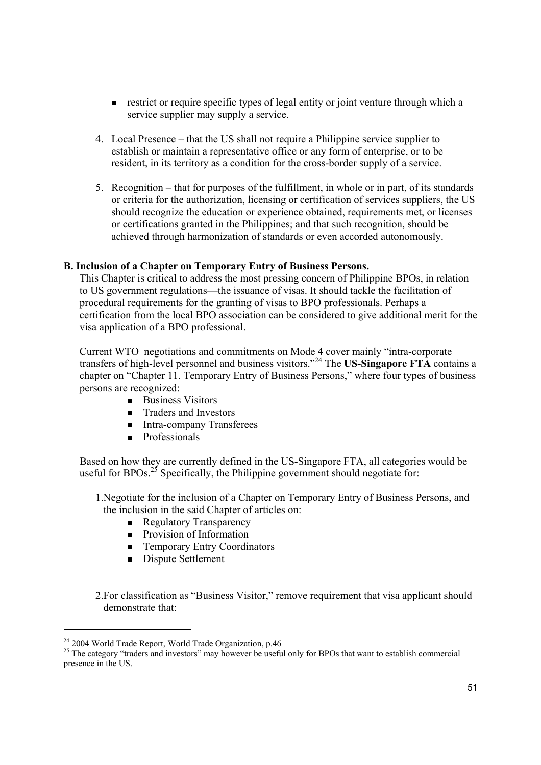- **Figure 1** restrict or require specific types of legal entity or joint venture through which a service supplier may supply a service.
- 4. Local Presence that the US shall not require a Philippine service supplier to establish or maintain a representative office or any form of enterprise, or to be resident, in its territory as a condition for the cross-border supply of a service.
- 5. Recognition that for purposes of the fulfillment, in whole or in part, of its standards or criteria for the authorization, licensing or certification of services suppliers, the US should recognize the education or experience obtained, requirements met, or licenses or certifications granted in the Philippines; and that such recognition, should be achieved through harmonization of standards or even accorded autonomously.

# **B. Inclusion of a Chapter on Temporary Entry of Business Persons.**

This Chapter is critical to address the most pressing concern of Philippine BPOs, in relation to US government regulations—the issuance of visas. It should tackle the facilitation of procedural requirements for the granting of visas to BPO professionals. Perhaps a certification from the local BPO association can be considered to give additional merit for the visa application of a BPO professional.

Current WTO negotiations and commitments on Mode 4 cover mainly "intra-corporate transfers of high-level personnel and business visitors."24 The **US-Singapore FTA** contains a chapter on "Chapter 11. Temporary Entry of Business Persons," where four types of business persons are recognized:

- Business Visitors
- **Traders and Investors**
- **Intra-company Transferees**
- **Professionals**

Based on how they are currently defined in the US-Singapore FTA, all categories would be useful for BPOs.<sup>25</sup> Specifically, the Philippine government should negotiate for:

1.Negotiate for the inclusion of a Chapter on Temporary Entry of Business Persons, and the inclusion in the said Chapter of articles on:

- **Regulatory Transparency**
- **Provision of Information**
- **Temporary Entry Coordinators**
- Dispute Settlement

2.For classification as "Business Visitor," remove requirement that visa applicant should demonstrate that:

<sup>24 2004</sup> World Trade Report, World Trade Organization, p.46

<sup>&</sup>lt;sup>25</sup> The category "traders and investors" may however be useful only for BPOs that want to establish commercial presence in the US.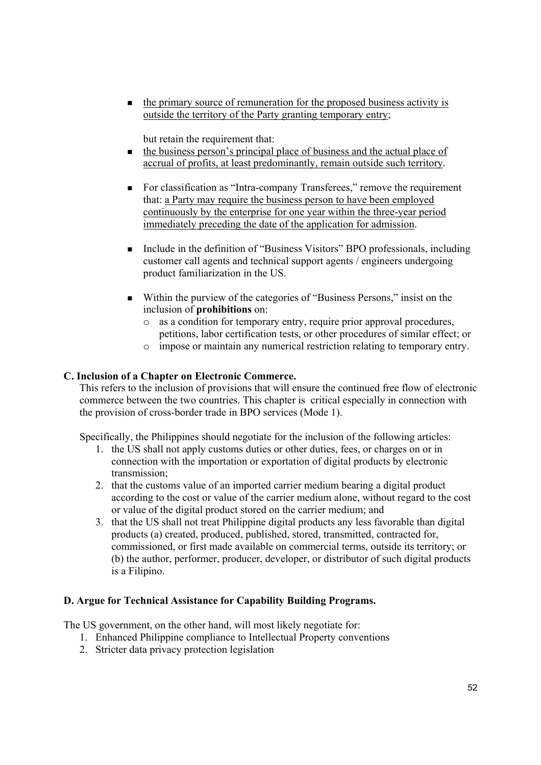the primary source of remuneration for the proposed business activity is outside the territory of the Party granting temporary entry;

but retain the requirement that:

- $\blacksquare$  the business person's principal place of business and the actual place of accrual of profits, at least predominantly, remain outside such territory.
- For classification as "Intra-company Transferees," remove the requirement that: a Party may require the business person to have been employed continuously by the enterprise for one year within the three-year period immediately preceding the date of the application for admission.
- Include in the definition of "Business Visitors" BPO professionals, including customer call agents and technical support agents / engineers undergoing product familiarization in the US.
- Within the purview of the categories of "Business Persons," insist on the inclusion of **prohibitions** on:
	- o as a condition for temporary entry, require prior approval procedures, petitions, labor certification tests, or other procedures of similar effect; or
	- o impose or maintain any numerical restriction relating to temporary entry.

# **C. Inclusion of a Chapter on Electronic Commerce.**

This refers to the inclusion of provisions that will ensure the continued free flow of electronic commerce between the two countries. This chapter is critical especially in connection with the provision of cross-border trade in BPO services (Mode 1).

Specifically, the Philippines should negotiate for the inclusion of the following articles:

- 1. the US shall not apply customs duties or other duties, fees, or charges on or in connection with the importation or exportation of digital products by electronic transmission;
- 2. that the customs value of an imported carrier medium bearing a digital product according to the cost or value of the carrier medium alone, without regard to the cost or value of the digital product stored on the carrier medium; and
- 3. that the US shall not treat Philippine digital products any less favorable than digital products (a) created, produced, published, stored, transmitted, contracted for, commissioned, or first made available on commercial terms, outside its territory; or (b) the author, performer, producer, developer, or distributor of such digital products is a Filipino.

# **D. Argue for Technical Assistance for Capability Building Programs.**

The US government, on the other hand, will most likely negotiate for:

- 1. Enhanced Philippine compliance to Intellectual Property conventions
- 2. Stricter data privacy protection legislation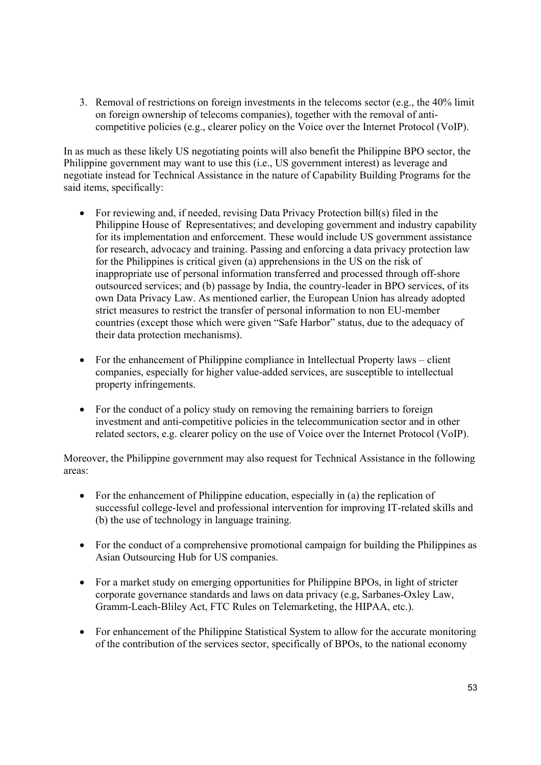3. Removal of restrictions on foreign investments in the telecoms sector (e.g., the 40% limit on foreign ownership of telecoms companies), together with the removal of anticompetitive policies (e.g., clearer policy on the Voice over the Internet Protocol (VoIP).

In as much as these likely US negotiating points will also benefit the Philippine BPO sector, the Philippine government may want to use this (i.e., US government interest) as leverage and negotiate instead for Technical Assistance in the nature of Capability Building Programs for the said items, specifically:

- For reviewing and, if needed, revising Data Privacy Protection bill(s) filed in the Philippine House of Representatives; and developing government and industry capability for its implementation and enforcement. These would include US government assistance for research, advocacy and training. Passing and enforcing a data privacy protection law for the Philippines is critical given (a) apprehensions in the US on the risk of inappropriate use of personal information transferred and processed through off-shore outsourced services; and (b) passage by India, the country-leader in BPO services, of its own Data Privacy Law. As mentioned earlier, the European Union has already adopted strict measures to restrict the transfer of personal information to non EU-member countries (except those which were given "Safe Harbor" status, due to the adequacy of their data protection mechanisms).
- For the enhancement of Philippine compliance in Intellectual Property laws client companies, especially for higher value-added services, are susceptible to intellectual property infringements.
- For the conduct of a policy study on removing the remaining barriers to foreign investment and anti-competitive policies in the telecommunication sector and in other related sectors, e.g. clearer policy on the use of Voice over the Internet Protocol (VoIP).

Moreover, the Philippine government may also request for Technical Assistance in the following areas:

- For the enhancement of Philippine education, especially in (a) the replication of successful college-level and professional intervention for improving IT-related skills and (b) the use of technology in language training.
- For the conduct of a comprehensive promotional campaign for building the Philippines as Asian Outsourcing Hub for US companies.
- For a market study on emerging opportunities for Philippine BPOs, in light of stricter corporate governance standards and laws on data privacy (e.g, Sarbanes-Oxley Law, Gramm-Leach-Bliley Act, FTC Rules on Telemarketing, the HIPAA, etc.).
- For enhancement of the Philippine Statistical System to allow for the accurate monitoring of the contribution of the services sector, specifically of BPOs, to the national economy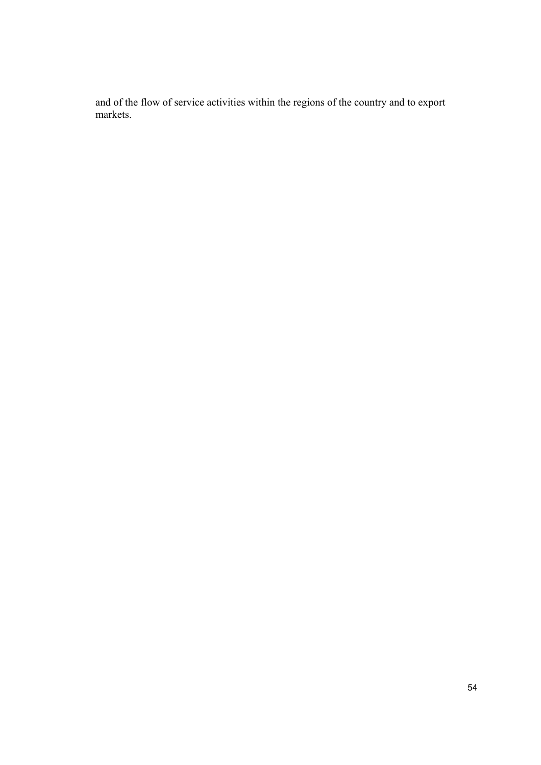and of the flow of service activities within the regions of the country and to export markets.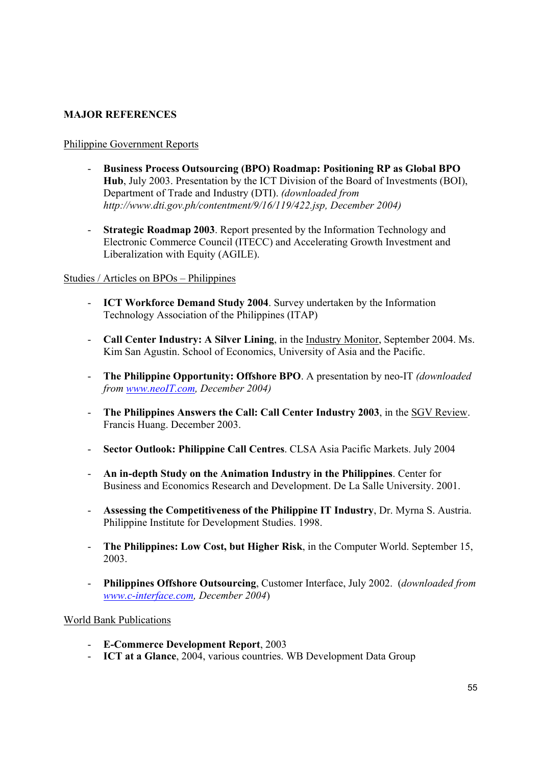# **MAJOR REFERENCES**

# Philippine Government Reports

- **Business Process Outsourcing (BPO) Roadmap: Positioning RP as Global BPO Hub**, July 2003. Presentation by the ICT Division of the Board of Investments (BOI), Department of Trade and Industry (DTI). *(downloaded from http://www.dti.gov.ph/contentment/9/16/119/422.jsp, December 2004)*
- **Strategic Roadmap 2003**. Report presented by the Information Technology and Electronic Commerce Council (ITECC) and Accelerating Growth Investment and Liberalization with Equity (AGILE).

### Studies / Articles on BPOs – Philippines

- **ICT Workforce Demand Study 2004**. Survey undertaken by the Information Technology Association of the Philippines (ITAP)
- **Call Center Industry: A Silver Lining**, in the Industry Monitor, September 2004. Ms. Kim San Agustin. School of Economics, University of Asia and the Pacific.
- **The Philippine Opportunity: Offshore BPO**. A presentation by neo-IT *(downloaded from www.neoIT.com, December 2004)*
- **The Philippines Answers the Call: Call Center Industry 2003**, in the SGV Review. Francis Huang. December 2003.
- **Sector Outlook: Philippine Call Centres**. CLSA Asia Pacific Markets. July 2004
- **An in-depth Study on the Animation Industry in the Philippines**. Center for Business and Economics Research and Development. De La Salle University. 2001.
- **Assessing the Competitiveness of the Philippine IT Industry**, Dr. Myrna S. Austria. Philippine Institute for Development Studies. 1998.
- **The Philippines: Low Cost, but Higher Risk**, in the Computer World. September 15, 2003.
- **Philippines Offshore Outsourcing**, Customer Interface, July 2002. (*downloaded from www.c-interface.com, December 2004*)

# World Bank Publications

- **E-Commerce Development Report**, 2003
- **ICT at a Glance**, 2004, various countries. WB Development Data Group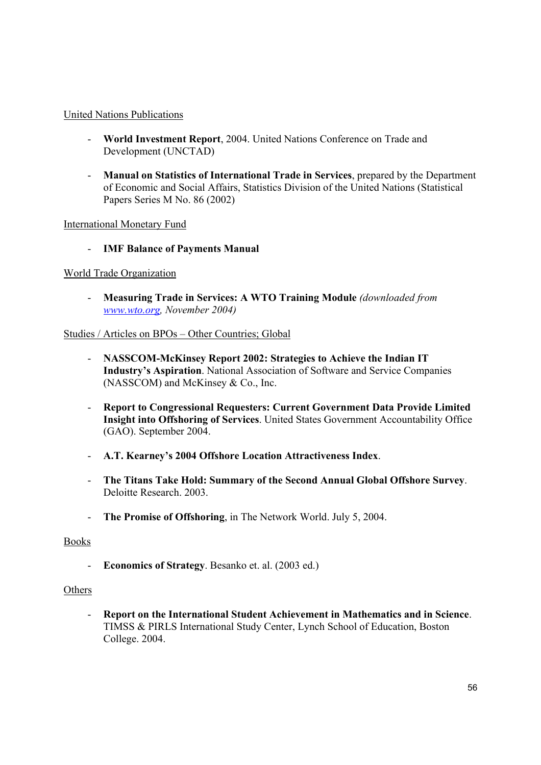# United Nations Publications

- **World Investment Report**, 2004. United Nations Conference on Trade and Development (UNCTAD)
- **Manual on Statistics of International Trade in Services**, prepared by the Department of Economic and Social Affairs, Statistics Division of the United Nations (Statistical Papers Series M No. 86 (2002)

International Monetary Fund

- **IMF Balance of Payments Manual** 

# World Trade Organization

- **Measuring Trade in Services: A WTO Training Module** *(downloaded from www.wto.org, November 2004)*

# Studies / Articles on BPOs – Other Countries; Global

- **NASSCOM-McKinsey Report 2002: Strategies to Achieve the Indian IT Industry's Aspiration**. National Association of Software and Service Companies (NASSCOM) and McKinsey & Co., Inc.
- **Report to Congressional Requesters: Current Government Data Provide Limited Insight into Offshoring of Services**. United States Government Accountability Office (GAO). September 2004.
- **A.T. Kearney's 2004 Offshore Location Attractiveness Index**.
- **The Titans Take Hold: Summary of the Second Annual Global Offshore Survey**. Deloitte Research. 2003.
- **The Promise of Offshoring**, in The Network World. July 5, 2004.

# Books

- **Economics of Strategy**. Besanko et. al. (2003 ed.)

# **Others**

- **Report on the International Student Achievement in Mathematics and in Science**. TIMSS & PIRLS International Study Center, Lynch School of Education, Boston College. 2004.